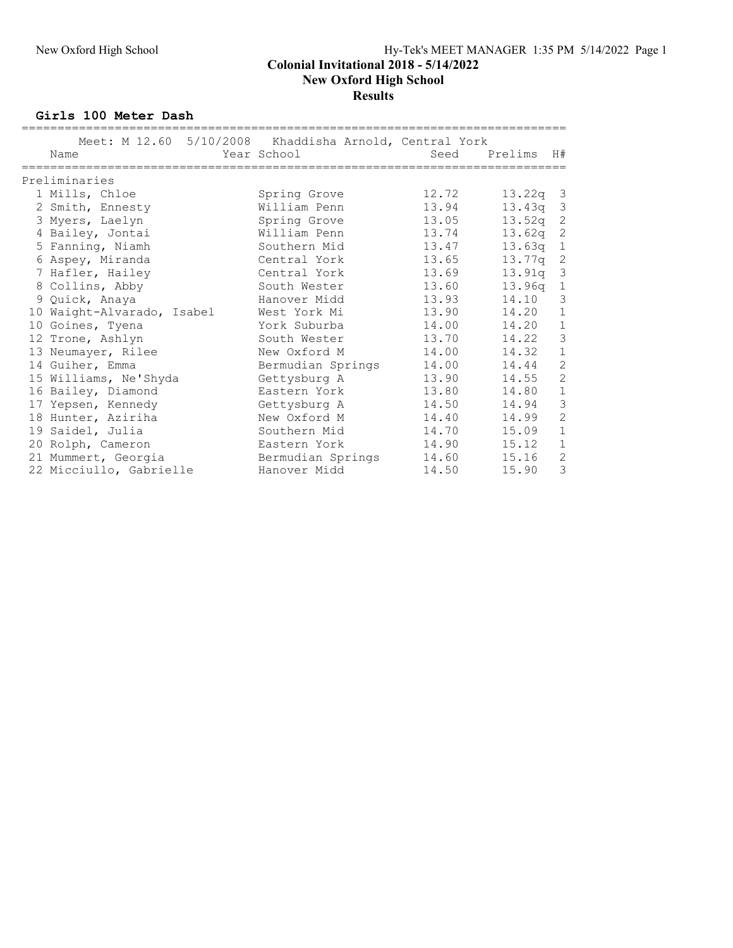#### Colonial Invitational 2018 - 5/14/2022 New Oxford High School **Results**

Girls 100 Meter Dash

| Meet: M 12.60 5/10/2008 Khaddisha Arnold, Central York |                   |       |            |                |
|--------------------------------------------------------|-------------------|-------|------------|----------------|
| Name                                                   | Year School       | Seed  | Prelims    | H#             |
| Preliminaries                                          |                   |       |            |                |
| 1 Mills, Chloe                                         | Spring Grove      | 12.72 | $13.22q$ 3 |                |
| 2 Smith, Ennesty                                       | William Penn      | 13.94 | 13.43q     | $\mathcal{E}$  |
| 3 Myers, Laelyn                                        | Spring Grove      | 13.05 | 13.52q     | $\overline{c}$ |
| 4 Bailey, Jontai                                       | William Penn      | 13.74 | 13.62q     | 2              |
| 5 Fanning, Niamh                                       | Southern Mid      | 13.47 | 13.63q     | $\mathbf{1}$   |
| 6 Aspey, Miranda                                       | Central York      | 13.65 | 13.77q 2   |                |
| 7 Hafler, Hailey                                       | Central York      | 13.69 | 13.91q     | $\mathcal{E}$  |
| 8 Collins, Abby                                        | South Wester      | 13.60 | 13.96q     | $\mathbf{1}$   |
| 9 Quick, Anaya                                         | Hanover Midd      | 13.93 | 14.10      | 3              |
| 10 Waight-Alvarado, Isabel                             | West York Mi      | 13.90 | 14.20      | $\mathbf 1$    |
| 10 Goines, Tyena                                       | York Suburba      | 14.00 | 14.20      | $\,1\,$        |
| 12 Trone, Ashlyn                                       | South Wester      | 13.70 | 14.22      | $\mathfrak{Z}$ |
| 13 Neumayer, Rilee                                     | New Oxford M      | 14.00 | 14.32      | $\mathbf 1$    |
| 14 Guiher, Emma                                        | Bermudian Springs | 14.00 | 14.44      | $\mathbf{2}$   |
| 15 Williams, Ne'Shyda                                  | Gettysburg A      | 13.90 | 14.55      | $\overline{c}$ |
| 16 Bailey, Diamond                                     | Eastern York      | 13.80 | 14.80      | $\mathbf{1}$   |
| 17 Yepsen, Kennedy                                     | Gettysburg A      | 14.50 | 14.94      | $\mathfrak{Z}$ |
| 18 Hunter, Aziriha                                     | New Oxford M      | 14.40 | 14.99      | $\overline{c}$ |
| 19 Saidel, Julia                                       | Southern Mid      | 14.70 | 15.09      | $\mathbf{1}$   |
| 20 Rolph, Cameron                                      | Eastern York      | 14.90 | 15.12      | $\mathbf 1$    |
| 21 Mummert, Georgia                                    | Bermudian Springs | 14.60 | 15.16      | $\overline{c}$ |
| 22 Micciullo, Gabrielle                                | Hanover Midd      | 14.50 | 15.90      | 3              |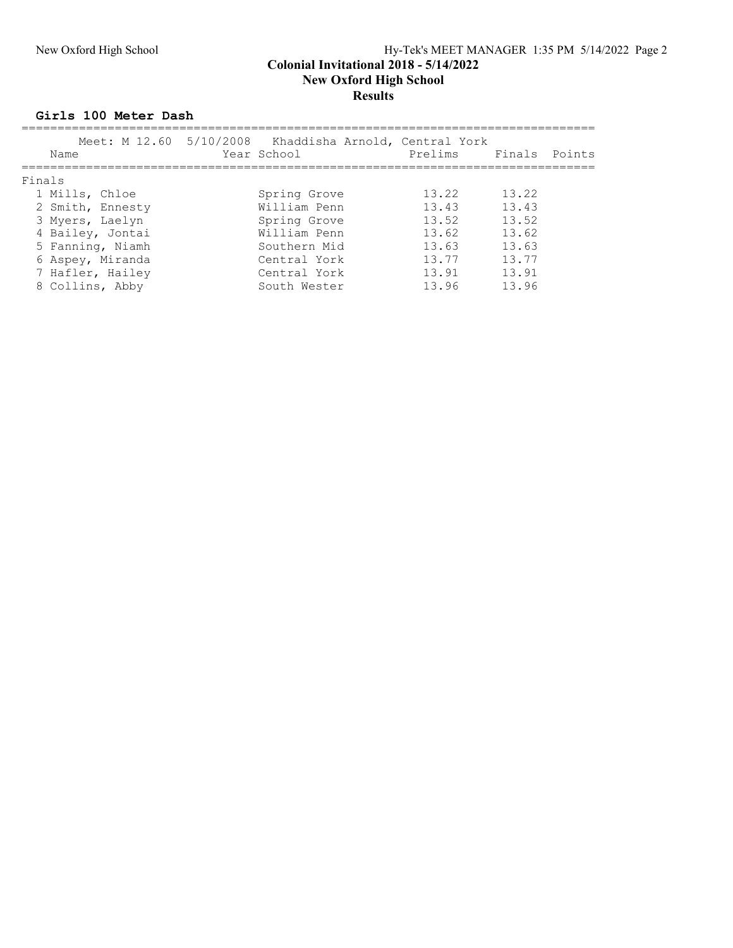# New Oxford High School Hy-Tek's MEET MANAGER 1:35 PM 5/14/2022 Page 2

#### Colonial Invitational 2018 - 5/14/2022 New Oxford High School **Results**

Girls 100 Meter Dash

| Name             | Meet: M 12.60 5/10/2008 Khaddisha Arnold, Central York<br>Year School | Prelims Finals Points |       |  |
|------------------|-----------------------------------------------------------------------|-----------------------|-------|--|
| Finals           |                                                                       |                       |       |  |
| 1 Mills, Chloe   | Spring Grove                                                          | 13.22                 | 13.22 |  |
| 2 Smith, Ennesty | William Penn                                                          | 13.43                 | 13.43 |  |
| 3 Myers, Laelyn  | Spring Grove                                                          | 13.52                 | 13.52 |  |
| 4 Bailey, Jontai | William Penn                                                          | 13.62                 | 13.62 |  |
| 5 Fanning, Niamh | Southern Mid                                                          | 13.63                 | 13.63 |  |
| 6 Aspey, Miranda | Central York                                                          | 13.77                 | 13.77 |  |
| 7 Hafler, Hailey | Central York                                                          | 13.91                 | 13.91 |  |
| 8 Collins, Abby  | South Wester                                                          | 13.96                 | 13.96 |  |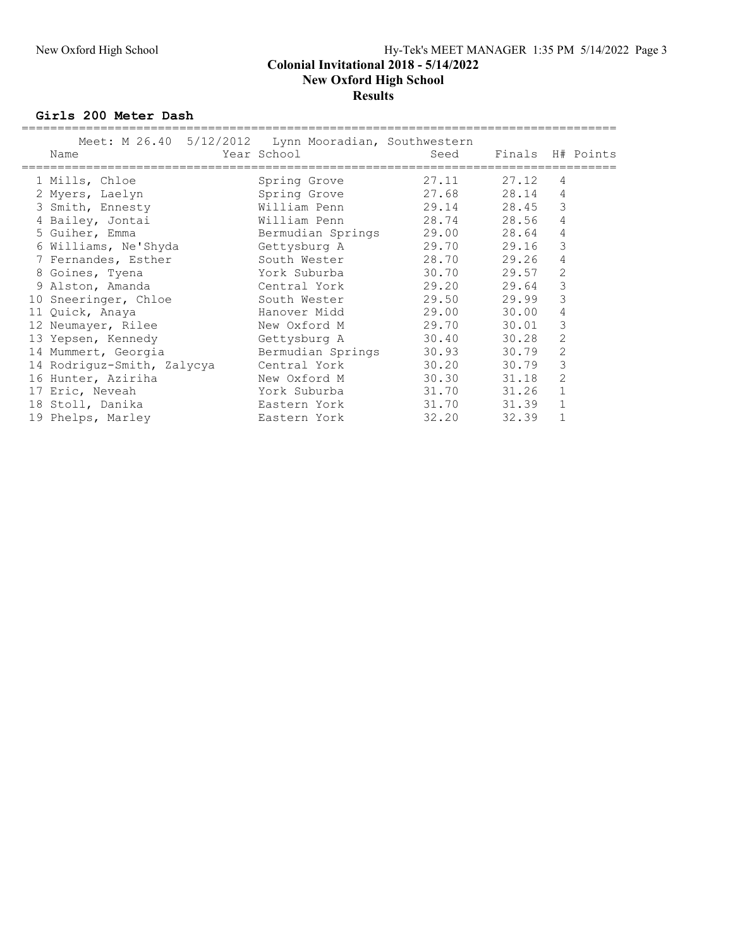#### Colonial Invitational 2018 - 5/14/2022 New Oxford High School **Results**

Girls 200 Meter Dash

| Name                       | Meet: M 26.40 5/12/2012 Lynn Mooradian, Southwestern<br>Year School | Seed  | Finals H# Points |                |  |
|----------------------------|---------------------------------------------------------------------|-------|------------------|----------------|--|
| 1 Mills, Chloe             | Spring Grove                                                        | 27.11 | 27.12            | 4              |  |
| 2 Myers, Laelyn            | Spring Grove                                                        | 27.68 | 28.14            | 4              |  |
| 3 Smith, Ennesty           | William Penn                                                        | 29.14 | 28.45            | 3              |  |
| 4 Bailey, Jontai           | William Penn                                                        | 28.74 | 28.56            | 4              |  |
| 5 Guiher, Emma             | Bermudian Springs                                                   | 29.00 | 28.64            | 4              |  |
| 6 Williams, Ne'Shyda       | Gettysburg A                                                        | 29.70 | 29.16            | 3              |  |
| 7 Fernandes, Esther        | South Wester                                                        | 28.70 | 29.26            | 4              |  |
| 8 Goines, Tyena            | York Suburba                                                        | 30.70 | 29.57            | 2              |  |
| 9 Alston, Amanda           | Central York                                                        | 29.20 | 29.64            | 3              |  |
| 10 Sneeringer, Chloe       | South Wester                                                        | 29.50 | 29.99            | 3              |  |
| 11 Quick, Anaya            | Hanover Midd                                                        | 29.00 | 30.00            | 4              |  |
| 12 Neumayer, Rilee         | New Oxford M                                                        | 29.70 | 30.01            | 3              |  |
| 13 Yepsen, Kennedy         | Gettysburg A                                                        | 30.40 | 30.28            | $\overline{2}$ |  |
| 14 Mummert, Georgia        | Bermudian Springs                                                   | 30.93 | 30.79            | 2              |  |
| 14 Rodriguz-Smith, Zalycya | Central York                                                        | 30.20 | 30.79            | 3              |  |
| 16 Hunter, Aziriha         | New Oxford M                                                        | 30.30 | 31.18            | 2              |  |
| 17 Eric, Neveah            | York Suburba                                                        | 31.70 | 31.26            | $\mathbf 1$    |  |
| 18 Stoll, Danika           | Eastern York                                                        | 31.70 | 31.39            | $\mathbf{1}$   |  |
| 19 Phelps, Marley          | Eastern York                                                        | 32.20 | 32.39            |                |  |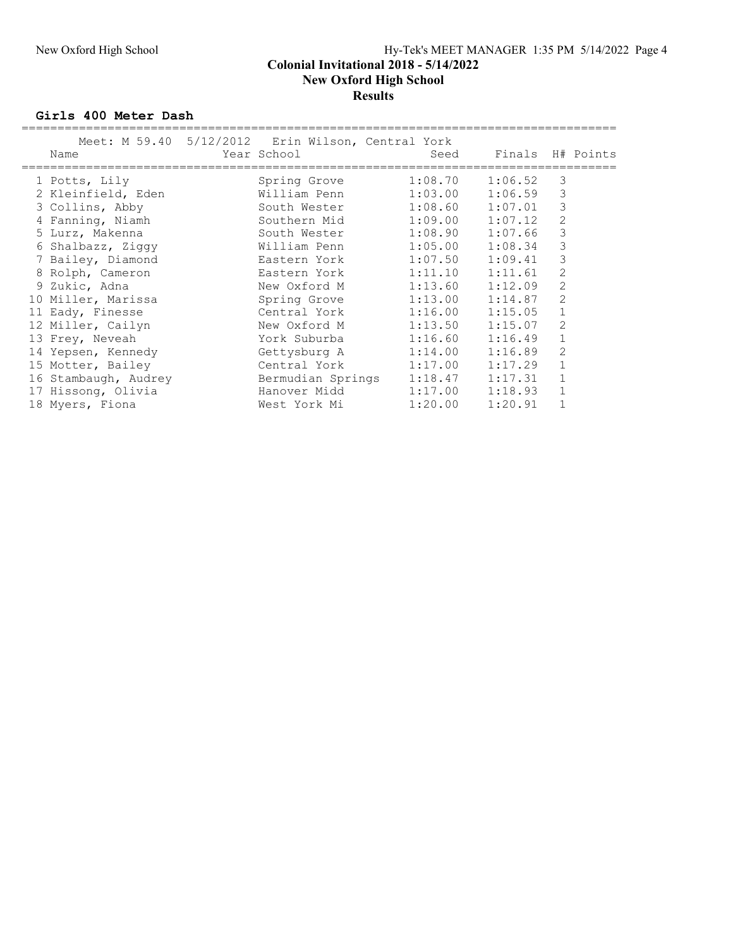#### New Oxford High School Hy-Tek's MEET MANAGER 1:35 PM 5/14/2022 Page 4 Colonial Invitational 2018 - 5/14/2022 New Oxford High School **Results**

Girls 400 Meter Dash

|                      | Meet: M 59.40 5/12/2012 Erin Wilson, Central York |         |                  |                |  |
|----------------------|---------------------------------------------------|---------|------------------|----------------|--|
| Name                 | Year School                                       | Seed    | Finals H# Points |                |  |
|                      |                                                   |         |                  |                |  |
| 1 Potts, Lily        | Spring Grove                                      | 1:08.70 | 1:06.52          | 3              |  |
| 2 Kleinfield, Eden   | William Penn                                      | 1:03.00 | 1:06.59          | 3              |  |
| 3 Collins, Abby      | South Wester                                      | 1:08.60 | 1:07.01          | 3              |  |
| 4 Fanning, Niamh     | Southern Mid                                      | 1:09.00 | 1:07.12          | $\overline{2}$ |  |
| 5 Lurz, Makenna      | South Wester 1:08.90                              |         | 1:07.66          | 3              |  |
| 6 Shalbazz, Ziqqy    | William Penn                                      | 1:05.00 | 1:08.34          | 3              |  |
| 7 Bailey, Diamond    | Eastern York                                      | 1:07.50 | 1:09.41          | 3              |  |
| 8 Rolph, Cameron     | Eastern York                                      | 1:11.10 | 1:11.61          | 2              |  |
| 9 Zukic, Adna        | New Oxford M                                      | 1:13.60 | 1:12.09          | 2              |  |
| 10 Miller, Marissa   | Spring Grove                                      | 1:13.00 | 1:14.87          | 2              |  |
| 11 Eady, Finesse     | Central York                                      | 1:16.00 | 1:15.05          | $\mathbf{1}$   |  |
| 12 Miller, Cailyn    | New Oxford M                                      | 1:13.50 | 1:15.07          | 2              |  |
| 13 Frey, Neveah      | York Suburba                                      | 1:16.60 | 1:16.49          | $\mathbf{1}$   |  |
| 14 Yepsen, Kennedy   | Gettysburg A                                      | 1:14.00 | 1:16.89          | 2              |  |
| 15 Motter, Bailey    | Central York                                      | 1:17.00 | 1:17.29          |                |  |
| 16 Stambaugh, Audrey | Bermudian Springs                                 | 1:18.47 | 1:17.31          | $\mathbf{1}$   |  |
| 17 Hissong, Olivia   | Hanover Midd                                      | 1:17.00 | 1:18.93          | $\mathbf 1$    |  |
| 18 Myers, Fiona      | West York Mi                                      | 1:20.00 | 1:20.91          |                |  |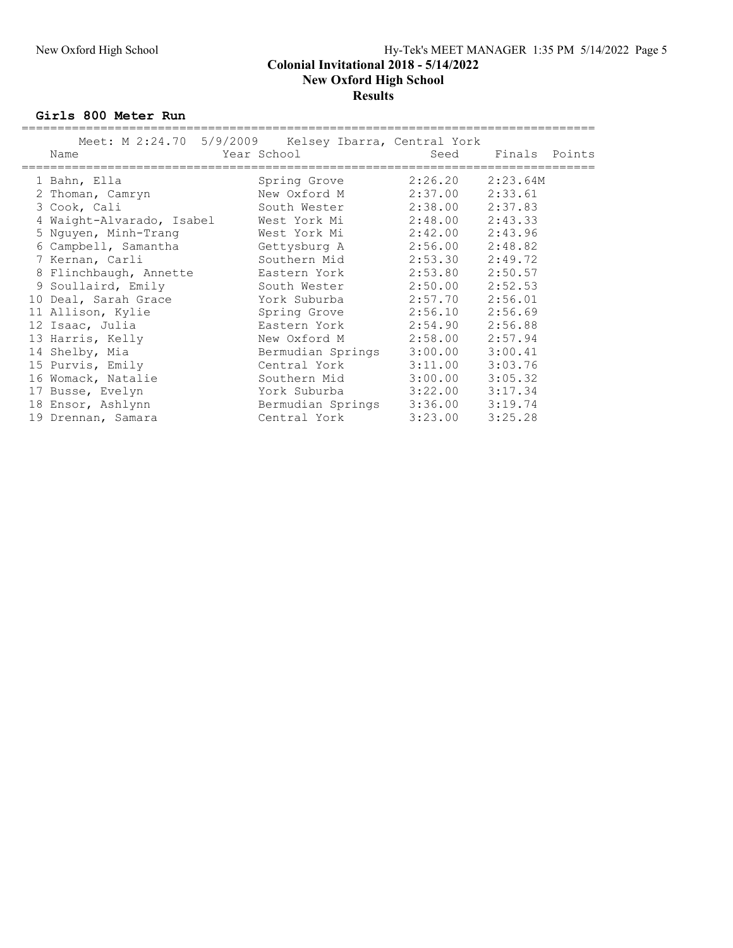# New Oxford High School Hy-Tek's MEET MANAGER 1:35 PM 5/14/2022 Page 5 Colonial Invitational 2018 - 5/14/2022

### New Oxford High School **Results**

Girls 800 Meter Run

| Meet: M 2:24.70 5/9/2009 Kelsey Ibarra, Central York<br>Name | Year School       | Seed                | Finals Points |  |
|--------------------------------------------------------------|-------------------|---------------------|---------------|--|
| 1 Bahn, Ella                                                 | Spring Grove      | 2:26.20             | 2:23.64M      |  |
| 2 Thoman, Camryn                                             | New Oxford M      | 2:37.00             | 2:33.61       |  |
| 3 Cook, Cali                                                 | South Wester      | 2:38.00             | 2:37.83       |  |
| 4 Waight-Alvarado, Isabel Mest York Mi                       |                   | 2:48.00             | 2:43.33       |  |
| 5 Nguyen, Minh-Trang                                         | West York Mi      | $2:42.00$ $2:43.96$ |               |  |
| 6 Campbell, Samantha Gettysburg A                            |                   | 2:56.00             | 2:48.82       |  |
| 7 Kernan, Carli                                              | Southern Mid      | 2:53.30             | 2:49.72       |  |
| 8 Flinchbaugh, Annette                                       | Eastern York      | 2:53.80             | 2:50.57       |  |
| 9 Soullaird, Emily                                           | South Wester      | 2:50.00             | 2:52.53       |  |
| 10 Deal, Sarah Grace                                         | York Suburba      | 2:57.70             | 2:56.01       |  |
| 11 Allison, Kylie                                            | Spring Grove      | 2:56.10             | 2:56.69       |  |
| 12 Isaac, Julia                                              | Eastern York      | 2:54.90             | 2:56.88       |  |
| 13 Harris, Kelly                                             | New Oxford M      | 2:58.00             | 2:57.94       |  |
| 14 Shelby, Mia                                               | Bermudian Springs | 3:00.00             | 3:00.41       |  |
| 15 Purvis, Emily                                             | Central York      | 3:11.00             | 3:03.76       |  |
| 16 Womack, Natalie                                           | Southern Mid      | 3:00.00             | 3:05.32       |  |
| 17 Busse, Evelyn                                             | York Suburba      | 3:22.00             | 3:17.34       |  |
| 18 Ensor, Ashlynn                                            | Bermudian Springs | $3:36.00$ $3:19.74$ |               |  |
| 19 Drennan, Samara                                           | Central York      | 3:23.00             | 3:25.28       |  |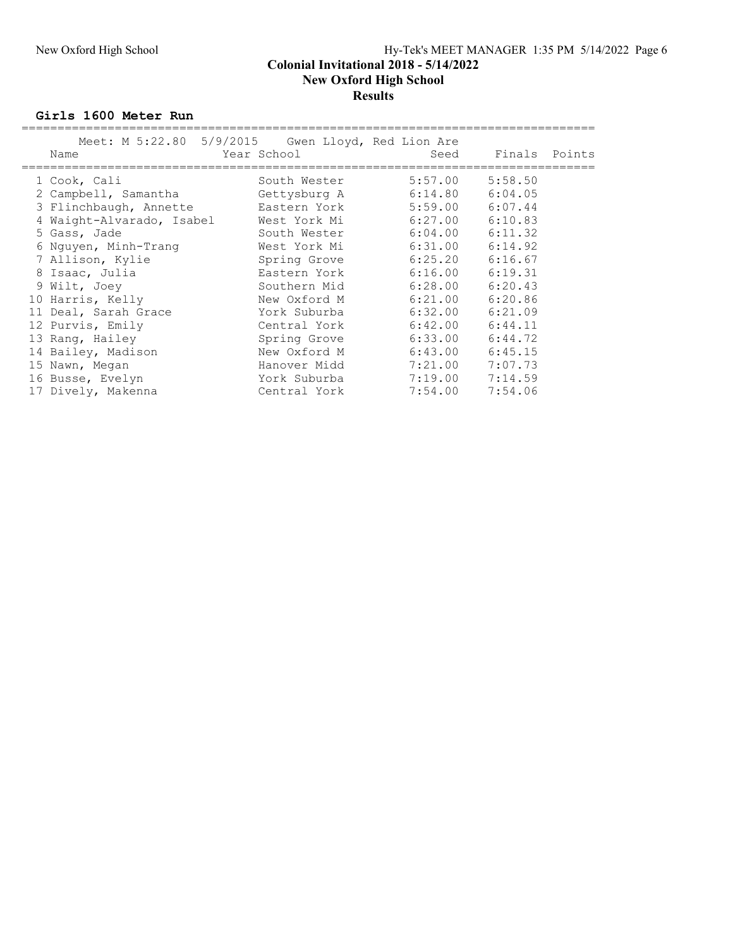### New Oxford High School Hy-Tek's MEET MANAGER 1:35 PM 5/14/2022 Page 6 Colonial Invitational 2018 - 5/14/2022 New Oxford High School **Results**

#### Girls 1600 Meter Run

| Meet: M 5:22.80 5/9/2015 Gwen Lloyd, Red Lion Are<br>Name | Year School  | Seed    | Finals Points       |  |
|-----------------------------------------------------------|--------------|---------|---------------------|--|
|                                                           |              |         |                     |  |
| 1 Cook, Cali                                              | South Wester | 5:57.00 | 5:58.50             |  |
| 2 Campbell, Samantha                                      | Gettysburg A |         | $6:14.80$ $6:04.05$ |  |
| 3 Flinchbaugh, Annette bastern York                       |              |         | $5:59.00$ $6:07.44$ |  |
| 4 Waight-Alvarado, Isabel Mest York Mi                    |              | 6:27.00 | 6:10.83             |  |
| 5 Gass, Jade                                              | South Wester | 6:04.00 | 6:11.32             |  |
| 6 Nguyen, Minh-Trang                                      | West York Mi | 6:31.00 | 6:14.92             |  |
| 7 Allison, Kylie                                          | Spring Grove |         | $6:25.20$ $6:16.67$ |  |
| 8 Isaac, Julia                                            | Eastern York | 6:16.00 | 6:19.31             |  |
| 9 Wilt, Joey                                              | Southern Mid | 6:28.00 | 6:20.43             |  |
| 10 Harris, Kelly                                          | New Oxford M | 6:21.00 | 6:20.86             |  |
| 11 Deal, Sarah Grace                                      | York Suburba | 6:32.00 | 6:21.09             |  |
| 12 Purvis, Emily                                          | Central York | 6:42.00 | 6:44.11             |  |
| 13 Rang, Hailey                                           | Spring Grove | 6:33.00 | 6:44.72             |  |
| 14 Bailey, Madison                                        | New Oxford M | 6:43.00 | 6:45.15             |  |
| 15 Nawn, Megan                                            | Hanover Midd | 7:21.00 | 7:07.73             |  |
| 16 Busse, Evelyn                                          | York Suburba |         | $7:19.00$ $7:14.59$ |  |
| 17 Dively, Makenna                                        | Central York | 7:54.00 | 7:54.06             |  |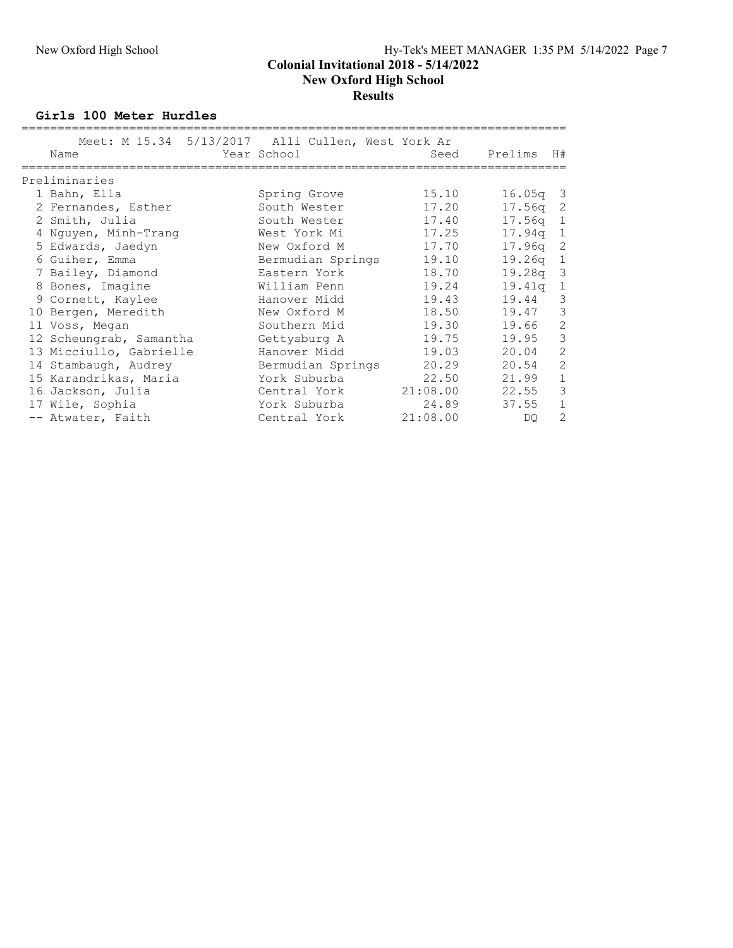#### Colonial Invitational 2018 - 5/14/2022 New Oxford High School **Results**

Girls 100 Meter Hurdles

| Meet: M 15.34 5/13/2017 Alli Cullen, West York Ar<br>Name | Year School       | Seed     | Prelims<br>H#                        |
|-----------------------------------------------------------|-------------------|----------|--------------------------------------|
| Preliminaries                                             |                   |          |                                      |
| 1 Bahn, Ella                                              | Spring Grove      | 15.10    | $16.05q$ 3                           |
| 2 Fernandes, Esther                                       | South Wester      | 17.20    | 17.56q<br>2                          |
| 2 Smith, Julia                                            | South Wester      | 17.40    | 17.56 <sub>q</sub><br>$\overline{1}$ |
| 4 Nguyen, Minh-Trang                                      | West York Mi      | 17.25    | 17.94a<br>$\mathbf{1}$               |
| 5 Edwards, Jaedyn                                         | New Oxford M      | 17.70    | 2<br>17.96q                          |
| 6 Guiher, Emma                                            | Bermudian Springs | 19.10    | 19.26q<br>$\mathbf{1}$               |
| 7 Bailey, Diamond                                         | Eastern York      | 18.70    | $\mathcal{E}$<br>19.28q              |
| 8 Bones, Imagine                                          | William Penn      | 19.24    | $\mathbf{1}$<br>19.41a               |
| 9 Cornett, Kaylee                                         | Hanover Midd      | 19.43    | 3<br>19.44                           |
| 10 Bergen, Meredith                                       | New Oxford M      | 18.50    | 3<br>19.47                           |
| 11 Voss, Megan                                            | Southern Mid      | 19.30    | $\mathbf{2}$<br>19.66                |
| 12 Scheungrab, Samantha                                   | Gettysburg A      | 19.75    | $\mathcal{S}$<br>19.95               |
| 13 Micciullo, Gabrielle                                   | Hanover Midd      | 19.03    | $\overline{c}$<br>20.04              |
| 14 Stambaugh, Audrey                                      | Bermudian Springs | 20.29    | $\mathbf{2}$<br>20.54                |
| 15 Karandrikas, Maria                                     | York Suburba      | 22.50    | $1\,$<br>21.99                       |
| 16 Jackson, Julia                                         | Central York      | 21:08.00 | $\mathfrak{Z}$<br>22.55              |
| 17 Wile, Sophia                                           | York Suburba      | 24.89    | $\mathbf 1$<br>37.55                 |
| -- Atwater, Faith                                         | Central York      | 21:08.00 | 2<br>DO.                             |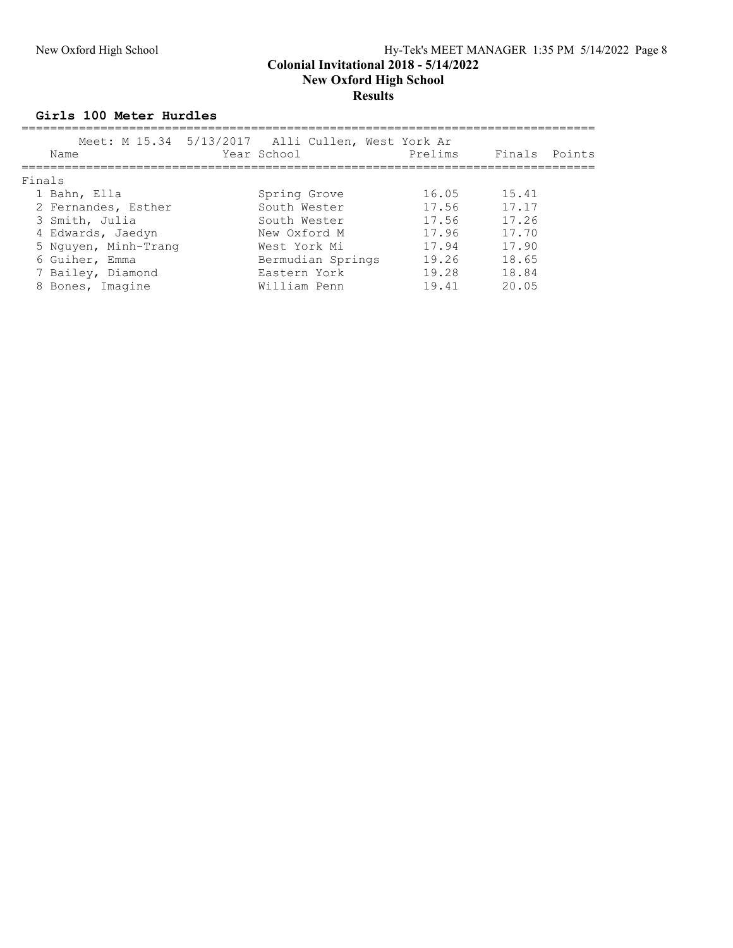# New Oxford High School Hy-Tek's MEET MANAGER 1:35 PM 5/14/2022 Page 8

#### Colonial Invitational 2018 - 5/14/2022 New Oxford High School **Results**

#### Girls 100 Meter Hurdles

| Name                 | Meet: M 15.34 5/13/2017 Alli Cullen, West York Ar<br>Year School | Prelims |       | Finals Points |
|----------------------|------------------------------------------------------------------|---------|-------|---------------|
| Finals               |                                                                  |         |       |               |
| 1 Bahn, Ella         | Spring Grove                                                     | 16.05   | 15.41 |               |
| 2 Fernandes, Esther  | South Wester                                                     | 17.56   | 17.17 |               |
| 3 Smith, Julia       | South Wester                                                     | 17.56   | 17.26 |               |
| 4 Edwards, Jaedyn    | New Oxford M                                                     | 17.96   | 17.70 |               |
| 5 Nguyen, Minh-Trang | West York Mi                                                     | 17.94   | 17.90 |               |
| 6 Guiher, Emma       | Bermudian Springs                                                | 19.26   | 18.65 |               |
| 7 Bailey, Diamond    | Eastern York                                                     | 19.28   | 18.84 |               |
| 8 Bones, Imagine     | William Penn                                                     | 19.41   | 20.05 |               |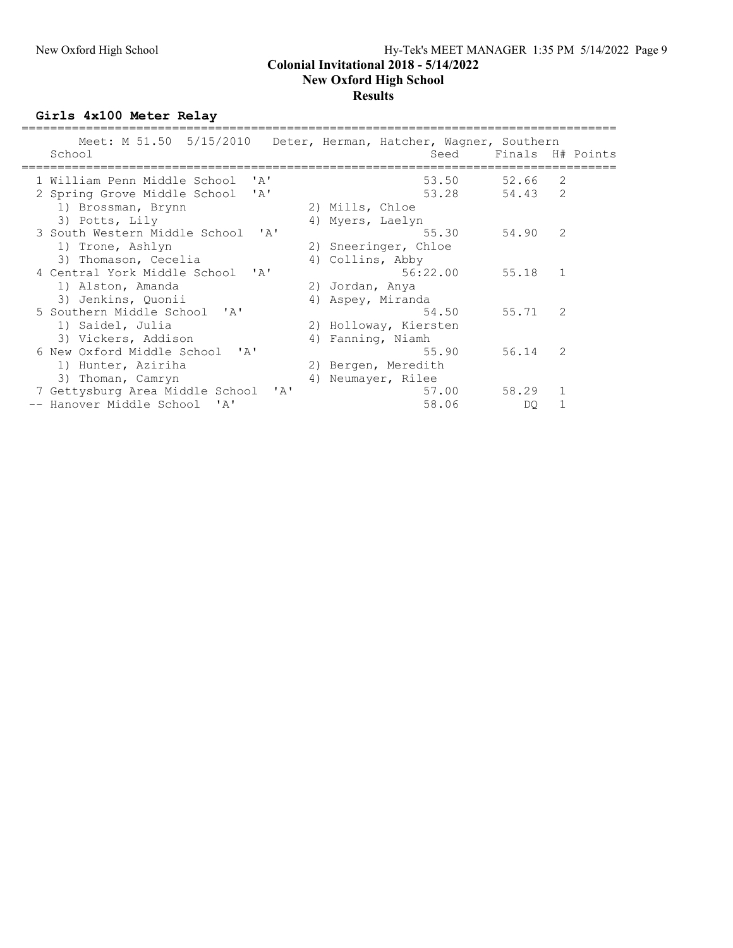#### New Oxford High School Hy-Tek's MEET MANAGER 1:35 PM 5/14/2022 Page 9 Colonial Invitational 2018 - 5/14/2022 New Oxford High School Results

Girls 4x100 Meter Relay

| Meet: M 51.50 5/15/2010<br>School                                    | Deter, Herman, Hatcher, Wagner, Southern<br>Seed |       | Finals H# Points |
|----------------------------------------------------------------------|--------------------------------------------------|-------|------------------|
| 1 William Penn Middle School<br>' A'                                 | 53.50                                            | 52.66 | 2                |
| $^{\prime}$ A $^{\prime}$<br>2 Spring Grove Middle School            | 53.28                                            | 54.43 | 2                |
| 1) Brossman, Brynn                                                   | 2) Mills, Chloe                                  |       |                  |
| 3) Potts, Lily                                                       | 4) Myers, Laelyn                                 |       |                  |
| 3 South Western Middle School<br>$\mathsf{r}_{\mathsf{A}}\mathsf{r}$ | 55.30                                            | 54.90 | $\mathcal{L}$    |
| 1) Trone, Ashlyn                                                     | 2) Sneeringer, Chloe                             |       |                  |
| 3) Thomason, Cecelia                                                 | 4) Collins, Abby                                 |       |                  |
| 4 Central York Middle School 'A'                                     | 56:22.00                                         | 55.18 | $\mathbf{1}$     |
| 1) Alston, Amanda                                                    | 2) Jordan, Anya                                  |       |                  |
| 3) Jenkins, Quonii                                                   | 4) Aspey, Miranda                                |       |                  |
| 5 Southern Middle School 'A'                                         | 54.50                                            | 55.71 | $\mathcal{L}$    |
| 1) Saidel, Julia                                                     | 2) Holloway, Kiersten                            |       |                  |
| 3) Vickers, Addison                                                  | 4) Fanning, Niamh                                |       |                  |
| 6 New Oxford Middle School 'A'                                       | 55.90                                            | 56.14 | $\mathcal{L}$    |
| 1) Hunter, Aziriha                                                   | 2) Bergen, Meredith                              |       |                  |
| 3) Thoman, Camryn                                                    | Neumayer, Rilee<br>4)                            |       |                  |
| 7 Gettysburg Area Middle School<br>$\mathsf{A}$                      | 57.00                                            | 58.29 | $\mathbf{1}$     |
| -- Hanover Middle School<br>$^{\prime}$ A $^{\prime}$                | 58.06                                            | DO.   |                  |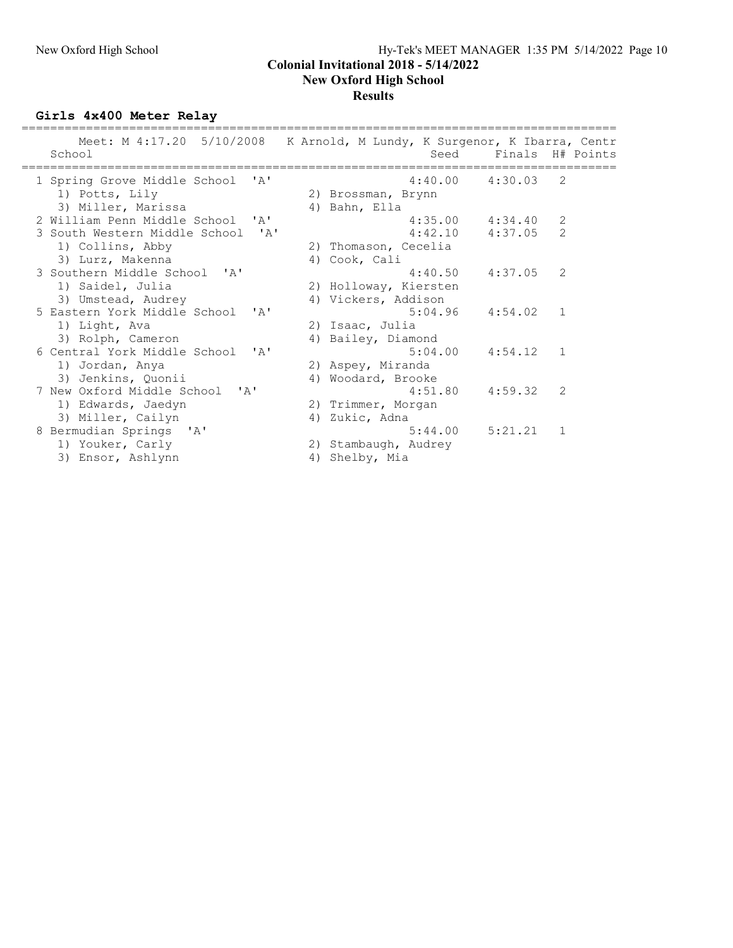#### New Oxford High School Hy-Tek's MEET MANAGER 1:35 PM 5/14/2022 Page 10 Colonial Invitational 2018 - 5/14/2022 New Oxford High School Results

Girls 4x400 Meter Relay

| Meet: M 4:17.20 5/10/2008 K Arnold, M Lundy, K Surgenor, K Ibarra, Centr<br>School |    |                       | Seed Finals H# Points |                |
|------------------------------------------------------------------------------------|----|-----------------------|-----------------------|----------------|
| 1 Spring Grove Middle School<br>$\mathsf{r}$ $\mathsf{a}$ $\mathsf{r}$             |    | 4:40.00               | 4:30.03               | -2             |
| 1) Potts, Lily                                                                     |    | 2) Brossman, Brynn    |                       |                |
| 3) Miller, Marissa                                                                 |    | 4) Bahn, Ella         |                       |                |
| 2 William Penn Middle School 'A'                                                   |    | 4:35.00               | 4:34.40               | 2              |
| 3 South Western Middle School<br>' A'                                              |    | 4:42.10               | 4:37.05               | 2              |
| 1) Collins, Abby                                                                   |    | 2) Thomason, Cecelia  |                       |                |
| 3) Lurz, Makenna                                                                   |    | 4) Cook, Cali         |                       |                |
| 3 Southern Middle School 'A'                                                       |    | 4:40.50               | 4:37.05               | $\mathcal{L}$  |
| 1) Saidel, Julia                                                                   |    | 2) Holloway, Kiersten |                       |                |
| 3) Umstead, Audrey                                                                 |    | 4) Vickers, Addison   |                       |                |
| 5 Eastern York Middle School 'A'                                                   |    | 5:04.96               | 4:54.02 1             |                |
| 1) Light, Ava                                                                      |    | 2) Isaac, Julia       |                       |                |
| 3) Rolph, Cameron                                                                  |    | 4) Bailey, Diamond    |                       |                |
| 6 Central York Middle School<br>$\mathsf{r}$ $\mathsf{a}$ $\mathsf{r}$             |    | 5:04.00               | 4:54.12               | $\sim$ 1       |
| 1) Jordan, Anya                                                                    |    | 2) Aspey, Miranda     |                       |                |
| 3) Jenkins, Quonii                                                                 |    | 4) Woodard, Brooke    |                       |                |
| 7 New Oxford Middle School 'A'                                                     |    | 4:51.80               | 4:59.32               | $\mathcal{L}$  |
| 1) Edwards, Jaedyn                                                                 |    | 2) Trimmer, Morgan    |                       |                |
| 3) Miller, Cailyn                                                                  | 4) | Zukic, Adna           |                       |                |
| 8 Bermudian Springs 'A'                                                            |    | 5:44.00               | 5:21.21               | $\overline{1}$ |
| 1) Youker, Carly                                                                   |    | 2) Stambaugh, Audrey  |                       |                |
| 3) Ensor, Ashlynn                                                                  | 4) | Shelby, Mia           |                       |                |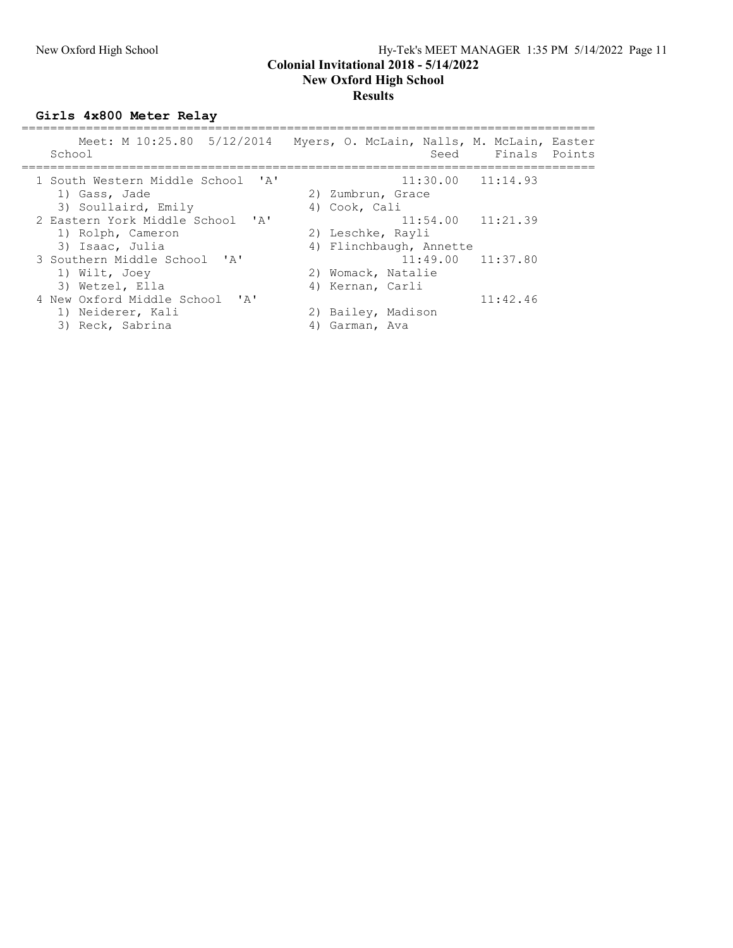### New Oxford High School Hy-Tek's MEET MANAGER 1:35 PM 5/14/2022 Page 11 Colonial Invitational 2018 - 5/14/2022 New Oxford High School **Results**

Girls 4x800 Meter Relay

| Meet: M 10:25.80 5/12/2014<br>School | Myers, O. McLain, Nalls, M. McLain, Easter<br>Finals Points<br>Seed |
|--------------------------------------|---------------------------------------------------------------------|
| 1 South Western Middle School 'A'    | $11:30.00$ $11:14.93$                                               |
| 1) Gass, Jade                        | 2) Zumbrun, Grace                                                   |
| 3) Soullaird, Emily                  | 4) Cook, Cali                                                       |
| 2 Eastern York Middle School 'A'     | $11:54.00$ $11:21.39$                                               |
| 1) Rolph, Cameron                    | 2) Leschke, Rayli                                                   |
| 3) Isaac, Julia                      | 4) Flinchbaugh, Annette                                             |
| 3 Southern Middle School 'A'         | $11:49.00$ $11:37.80$                                               |
| 1) Wilt, Joey                        | 2) Womack, Natalie                                                  |
| 3) Wetzel, Ella                      | 4) Kernan, Carli                                                    |
| 4 New Oxford Middle School 'A'       | 11:42.46                                                            |
| 1) Neiderer, Kali                    | 2) Bailey, Madison                                                  |
| 3) Reck, Sabrina                     | Garman, Ava                                                         |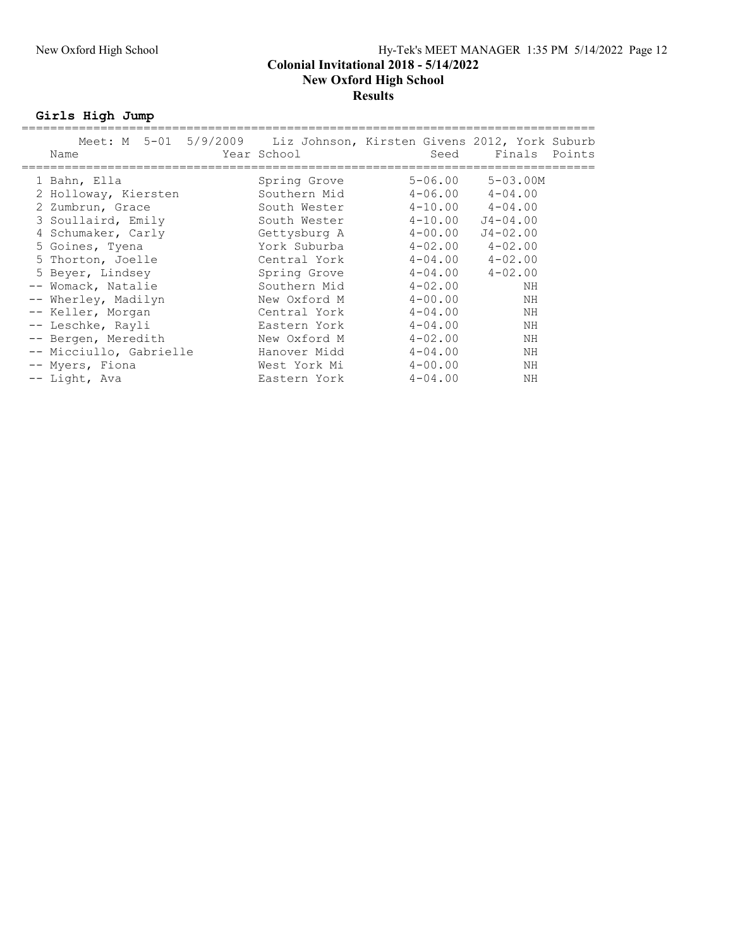### New Oxford High School Hy-Tek's MEET MANAGER 1:35 PM 5/14/2022 Page 12 Colonial Invitational 2018 - 5/14/2022 New Oxford High School Results

Girls High Jump

| Meet: M 5-01 5/9/2009 Liz Johnson, Kirsten Givens 2012, York Suburb<br>Name | Year School  | Seed        | Finals<br>Points |
|-----------------------------------------------------------------------------|--------------|-------------|------------------|
| 1 Bahn, Ella                                                                | Spring Grove | $5 - 06.00$ | $5 - 03.00M$     |
| 2 Holloway, Kiersten                                                        | Southern Mid | $4 - 06.00$ | $4 - 04.00$      |
| 2 Zumbrun, Grace                                                            | South Wester | $4 - 10.00$ | $4 - 04.00$      |
| 3 Soullaird, Emily                                                          | South Wester | $4 - 10.00$ | $J4 - 04.00$     |
| 4 Schumaker, Carly                                                          | Gettysburg A | $4 - 00.00$ | $J4 - 02.00$     |
| 5 Goines, Tyena                                                             | York Suburba | $4 - 02.00$ | $4 - 02.00$      |
| 5 Thorton, Joelle                                                           | Central York | $4 - 04.00$ | $4 - 02.00$      |
| 5 Beyer, Lindsey                                                            | Spring Grove | $4 - 04.00$ | $4 - 02.00$      |
| -- Womack, Natalie                                                          | Southern Mid | $4 - 02.00$ | ΝH               |
| -- Wherley, Madilyn                                                         | New Oxford M | $4 - 00.00$ | NH               |
| -- Keller, Morgan                                                           | Central York | $4 - 04.00$ | NH               |
| -- Leschke, Rayli                                                           | Eastern York | $4 - 04.00$ | ΝH               |
| -- Bergen, Meredith                                                         | New Oxford M | $4 - 02.00$ | NH               |
| -- Micciullo, Gabrielle                                                     | Hanover Midd | $4 - 04.00$ | NH               |
| -- Myers, Fiona                                                             | West York Mi | $4 - 00.00$ | NH               |
| -- Light, Ava                                                               | Eastern York | $4 - 04.00$ | ΝH               |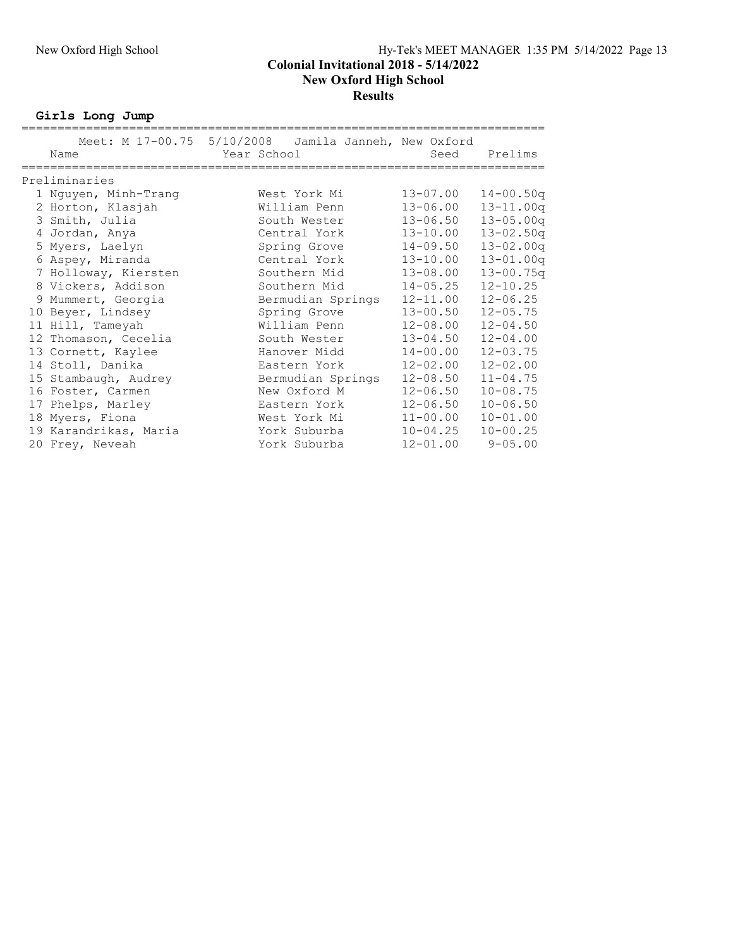Girls Long Jump

|                       | Meet: M 17-00.75 5/10/2008 Jamila Janneh, New Oxford |              |               |
|-----------------------|------------------------------------------------------|--------------|---------------|
| Name                  | Year School                                          | Seed         | Prelims       |
|                       |                                                      |              |               |
| Preliminaries         |                                                      |              |               |
| 1 Nguyen, Minh-Trang  | West York Mi                                         | $13 - 07.00$ | $14 - 00.50q$ |
| 2 Horton, Klasjah     | William Penn                                         | $13 - 06.00$ | $13 - 11.00q$ |
| 3 Smith, Julia        | South Wester                                         | $13 - 06.50$ | $13 - 05.00q$ |
| 4 Jordan, Anya        | Central York                                         | $13 - 10.00$ | $13 - 02.50q$ |
| 5 Myers, Laelyn       | Spring Grove                                         | $14 - 09.50$ | $13 - 02.00q$ |
| 6 Aspey, Miranda      | Central York                                         | $13 - 10.00$ | $13 - 01.00q$ |
| 7 Holloway, Kiersten  | Southern Mid                                         | $13 - 08.00$ | $13 - 00.75q$ |
| 8 Vickers, Addison    | Southern Mid                                         | $14 - 05.25$ | $12 - 10.25$  |
| 9 Mummert, Georgia    | Bermudian Springs                                    | $12 - 11.00$ | $12 - 06.25$  |
| 10 Beyer, Lindsey     | Spring Grove                                         | $13 - 00.50$ | $12 - 05.75$  |
| 11 Hill, Tameyah      | William Penn                                         | $12 - 08.00$ | $12 - 04.50$  |
| 12 Thomason, Cecelia  | South Wester                                         | $13 - 04.50$ | $12 - 04.00$  |
| 13 Cornett, Kaylee    | Hanover Midd                                         | $14 - 00.00$ | $12 - 03.75$  |
| 14 Stoll, Danika      | Eastern York                                         | $12 - 02.00$ | $12 - 02.00$  |
| 15 Stambaugh, Audrey  | Bermudian Springs                                    | $12 - 08.50$ | $11 - 04.75$  |
| 16 Foster, Carmen     | New Oxford M                                         | $12 - 06.50$ | $10 - 08.75$  |
| 17 Phelps, Marley     | Eastern York                                         | $12 - 06.50$ | $10 - 06.50$  |
| 18 Myers, Fiona       | West York Mi                                         | $11 - 00.00$ | $10 - 01.00$  |
| 19 Karandrikas, Maria | York Suburba                                         | $10 - 04.25$ | $10 - 00.25$  |
| 20 Frey, Neveah       | York Suburba                                         | $12 - 01.00$ | $9 - 05.00$   |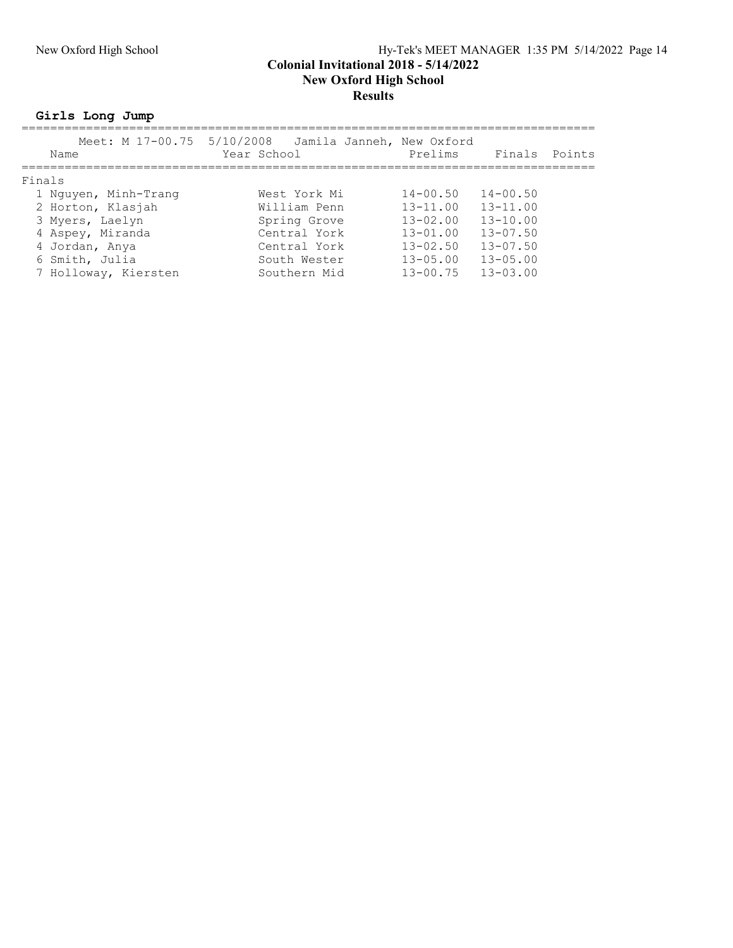### New Oxford High School Hy-Tek's MEET MANAGER 1:35 PM 5/14/2022 Page 14 Colonial Invitational 2018 - 5/14/2022 New Oxford High School Results

Girls Long Jump

| Name                 | Meet: M 17-00.75 5/10/2008 Jamila Janneh, New Oxford<br>Year School | Prelims      | Finals       | Points |
|----------------------|---------------------------------------------------------------------|--------------|--------------|--------|
| Finals               |                                                                     |              |              |        |
| 1 Nguyen, Minh-Trang | West York Mi                                                        | $14 - 00.50$ | $14 - 00.50$ |        |
| 2 Horton, Klasjah    | William Penn                                                        | $13 - 11.00$ | $13 - 11.00$ |        |
| 3 Myers, Laelyn      | Spring Grove                                                        | $13 - 02.00$ | $13 - 10.00$ |        |
| 4 Aspey, Miranda     | Central York                                                        | $13 - 01.00$ | $13 - 07.50$ |        |
| 4 Jordan, Anya       | Central York                                                        | $13 - 02.50$ | $13 - 07.50$ |        |
| 6 Smith, Julia       | South Wester                                                        | $13 - 05.00$ | $13 - 05.00$ |        |
| 7 Holloway, Kiersten | Southern Mid                                                        | $13 - 00.75$ | $13 - 03.00$ |        |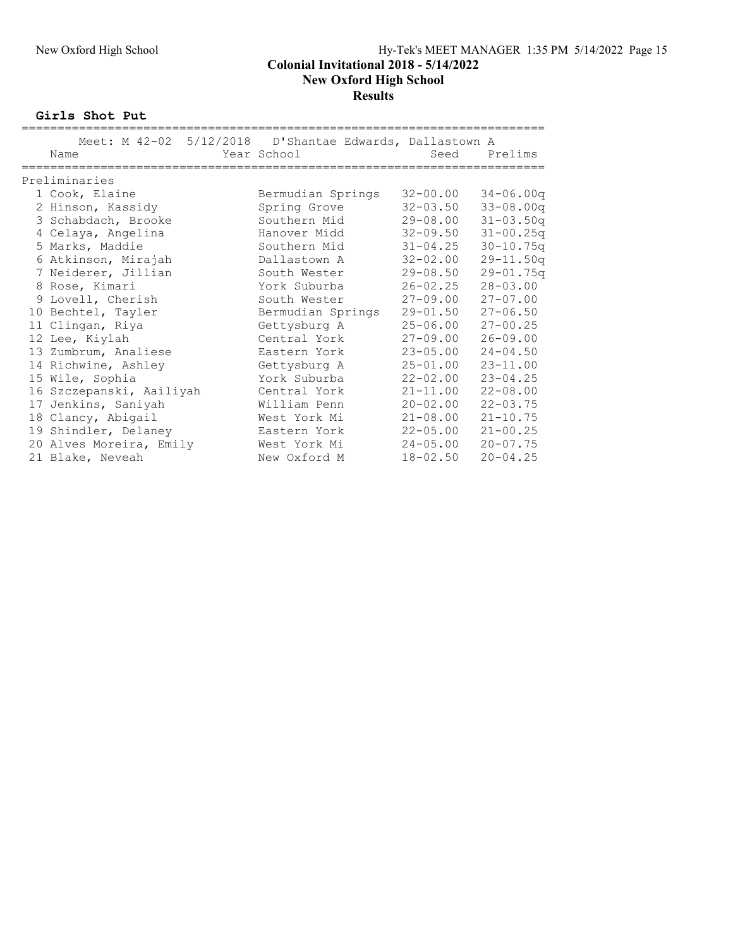Girls Shot Put

| Meet: M 42-02 5/12/2018 D'Shantae Edwards, Dallastown A |                   |              |               |
|---------------------------------------------------------|-------------------|--------------|---------------|
| Name                                                    | Year School       |              | Seed Prelims  |
| Preliminaries                                           |                   |              |               |
|                                                         |                   |              |               |
| 1 Cook, Elaine                                          | Bermudian Springs | $32 - 00.00$ | $34 - 06.00q$ |
| 2 Hinson, Kassidy                                       | Spring Grove      | $32 - 03.50$ | $33 - 08.00q$ |
| 3 Schabdach, Brooke                                     | Southern Mid      | $29 - 08.00$ | $31 - 03.50q$ |
| 4 Celaya, Angelina                                      | Hanover Midd      | $32 - 09.50$ | $31 - 00.25q$ |
| 5 Marks, Maddie                                         | Southern Mid      | $31 - 04.25$ | $30 - 10.75q$ |
| 6 Atkinson, Mirajah                                     | Dallastown A      | $32 - 02.00$ | $29 - 11.50q$ |
| 7 Neiderer, Jillian                                     | South Wester      | $29 - 08.50$ | $29 - 01.75q$ |
| 8 Rose, Kimari                                          | York Suburba      | $26 - 02.25$ | $28 - 03.00$  |
| 9 Lovell, Cherish                                       | South Wester      | $27 - 09.00$ | $27 - 07.00$  |
| 10 Bechtel, Tayler                                      | Bermudian Springs | $29 - 01.50$ | $27 - 06.50$  |
| 11 Clingan, Riya                                        | Gettysburg A      | $25 - 06.00$ | $27 - 00.25$  |
| 12 Lee, Kiylah                                          | Central York      | $27 - 09.00$ | $26 - 09.00$  |
| 13 Zumbrum, Analiese                                    | Eastern York      | $23 - 05.00$ | $24 - 04.50$  |
| 14 Richwine, Ashley                                     | Gettysburg A      | $25 - 01.00$ | $23 - 11.00$  |
| 15 Wile, Sophia                                         | York Suburba      | $22 - 02.00$ | $23 - 04.25$  |
| 16 Szczepanski, Aailiyah                                | Central York      | $21 - 11.00$ | $22 - 08.00$  |
| 17 Jenkins, Saniyah                                     | William Penn      | $20 - 02.00$ | $22 - 03.75$  |
| 18 Clancy, Abigail                                      | West York Mi      | $21 - 08.00$ | $21 - 10.75$  |
| 19 Shindler, Delaney                                    | Eastern York      | $22 - 05.00$ | $21 - 00.25$  |
| 20 Alves Moreira, Emily                                 | West York Mi      | $24 - 05.00$ | $20 - 07.75$  |
| 21 Blake, Neveah                                        | New Oxford M      | $18 - 02.50$ | $20 - 04.25$  |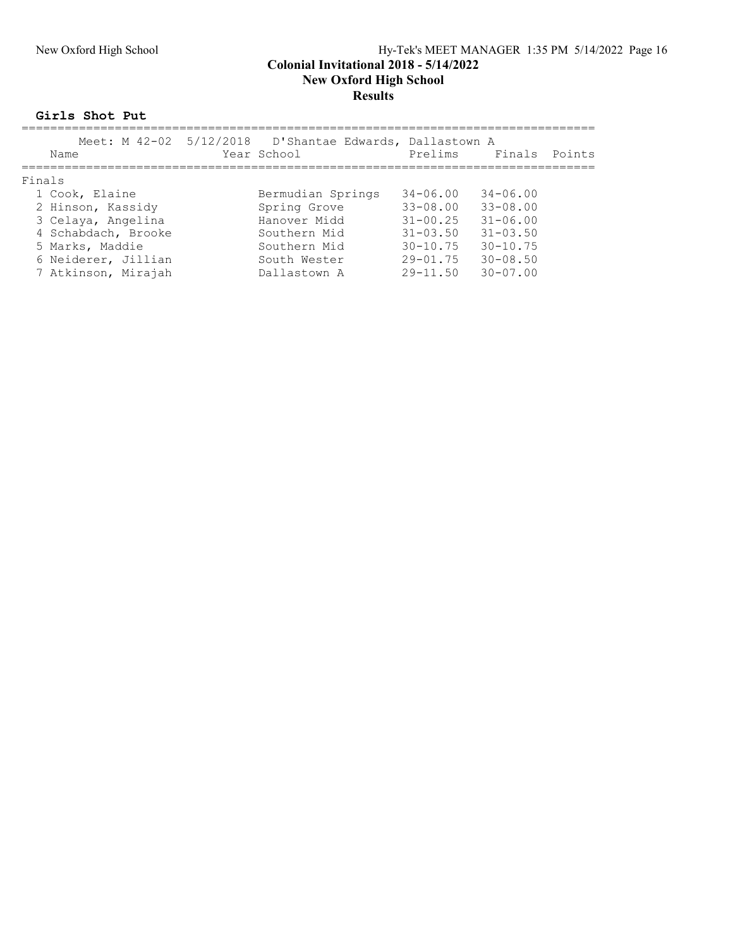### New Oxford High School Hy-Tek's MEET MANAGER 1:35 PM 5/14/2022 Page 16 Colonial Invitational 2018 - 5/14/2022 New Oxford High School Results

Girls Shot Put

| Name                | Meet: M 42-02 5/12/2018 D'Shantae Edwards, Dallastown A<br>Year School |              | Prelims Finals | Points |
|---------------------|------------------------------------------------------------------------|--------------|----------------|--------|
| Finals              |                                                                        |              |                |        |
| 1 Cook, Elaine      | Bermudian Springs                                                      | $34 - 06.00$ | $34 - 06.00$   |        |
| 2 Hinson, Kassidy   | Spring Grove                                                           | $33 - 08.00$ | $33 - 08.00$   |        |
| 3 Celaya, Angelina  | Hanover Midd                                                           | $31 - 00.25$ | $31 - 06.00$   |        |
| 4 Schabdach, Brooke | Southern Mid                                                           | $31 - 03.50$ | $31 - 03.50$   |        |
| 5 Marks, Maddie     | Southern Mid                                                           | $30 - 10.75$ | $30 - 10.75$   |        |
| 6 Neiderer, Jillian | South Wester                                                           | $29 - 01.75$ | $30 - 08.50$   |        |
| 7 Atkinson, Mirajah | Dallastown A                                                           | $29 - 11.50$ | $30 - 07.00$   |        |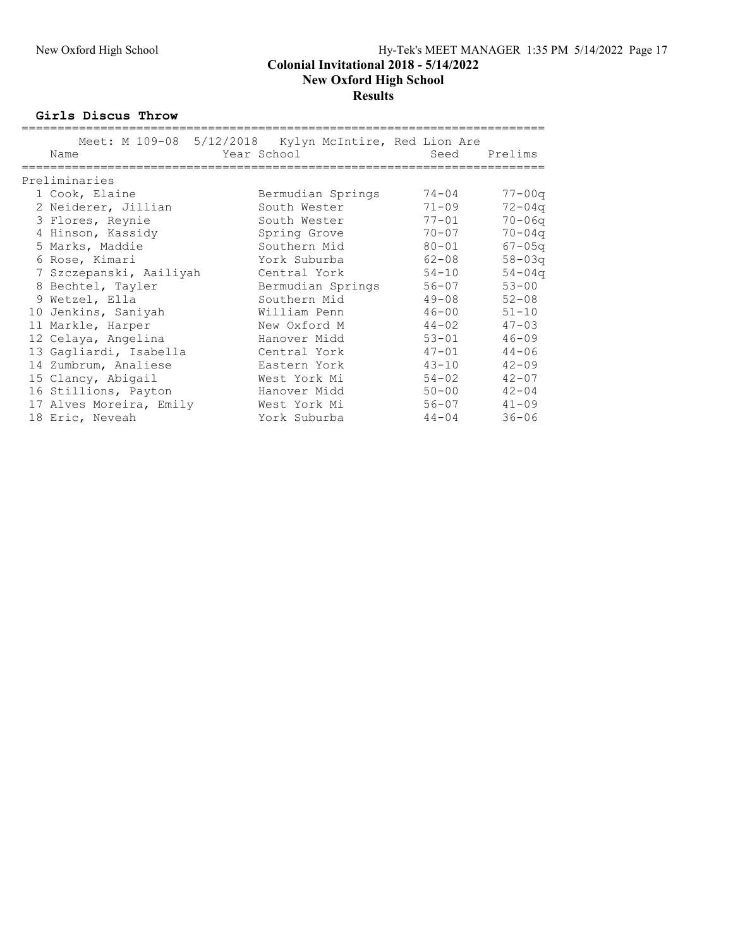#### New Oxford High School Results

Girls Discus Throw

| Meet: M 109-08 5/12/2018 Kylyn McIntire, Red Lion Are<br>Name | Year School       | Seed      | Prelims    |
|---------------------------------------------------------------|-------------------|-----------|------------|
| Preliminaries                                                 |                   |           |            |
| 1 Cook, Elaine                                                | Bermudian Springs | 74-04     | $77 - 00q$ |
| 2 Neiderer, Jillian                                           | South Wester      | $71 - 09$ | $72 - 04q$ |
| 3 Flores, Reynie                                              | South Wester      | $77 - 01$ | $70 - 06q$ |
| 4 Hinson, Kassidy                                             | Spring Grove      | $70 - 07$ | $70 - 04q$ |
| 5 Marks, Maddie                                               | Southern Mid      | $80 - 01$ | $67 - 05q$ |
| 6 Rose, Kimari                                                | York Suburba      | $62 - 08$ | $58 - 03q$ |
| 7 Szczepanski, Aailiyah                                       | Central York      | $54 - 10$ | $54 - 04q$ |
| 8 Bechtel, Tayler                                             | Bermudian Springs | $56 - 07$ | $53 - 00$  |
| 9 Wetzel, Ella                                                | Southern Mid      | $49 - 08$ | $52 - 08$  |
| 10 Jenkins, Saniyah                                           | William Penn      | $46 - 00$ | $51 - 10$  |
| 11 Markle, Harper                                             | New Oxford M      | $44 - 02$ | $47 - 03$  |
| 12 Celaya, Angelina                                           | Hanover Midd      | $53 - 01$ | $46 - 09$  |
| 13 Gagliardi, Isabella                                        | Central York      | $47 - 01$ | $44 - 06$  |
| 14 Zumbrum, Analiese                                          | Eastern York      | $43 - 10$ | $42 - 09$  |
| 15 Clancy, Abigail                                            | West York Mi      | $54 - 02$ | $42 - 07$  |
| 16 Stillions, Payton                                          | Hanover Midd      | $50 - 00$ | $42 - 04$  |
| 17 Alves Moreira, Emily                                       | West York Mi      | $56 - 07$ | $41 - 09$  |
| 18 Eric, Neveah                                               | York Suburba      | $44 - 04$ | $36 - 06$  |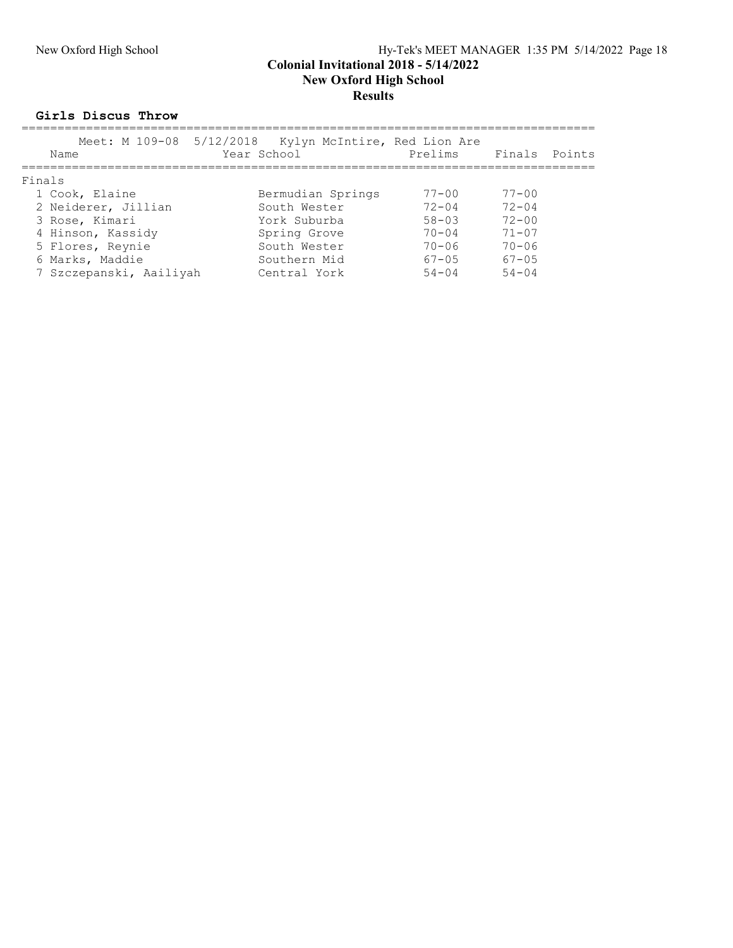#### New Oxford High School Hy-Tek's MEET MANAGER 1:35 PM 5/14/2022 Page 18 Colonial Invitational 2018 - 5/14/2022 New Oxford High School Results

#### Girls Discus Throw

| Name                    | Meet: M 109-08 5/12/2018 Kylyn McIntire, Red Lion Are<br>Year School | Prelims Finals |            | Points |
|-------------------------|----------------------------------------------------------------------|----------------|------------|--------|
| Finals                  |                                                                      |                |            |        |
| 1 Cook, Elaine          | Bermudian Springs                                                    | $77 - 00$      | $77 - 00$  |        |
| 2 Neiderer, Jillian     | South Wester                                                         | $72 - 04$      | $72 - 04$  |        |
| 3 Rose, Kimari          | York Suburba                                                         | $58 - 03$      | $72 - 00$  |        |
| 4 Hinson, Kassidy       | Spring Grove                                                         | $70 - 04$      | $71 - 07$  |        |
| 5 Flores, Reynie        | South Wester                                                         | $70 - 06$      | $70 - 06$  |        |
| 6 Marks, Maddie         | Southern Mid                                                         | $67 - 0.5$     | $67 - 0.5$ |        |
| 7 Szczepanski, Aailiyah | Central York                                                         | $54 - 04$      | $54 - 04$  |        |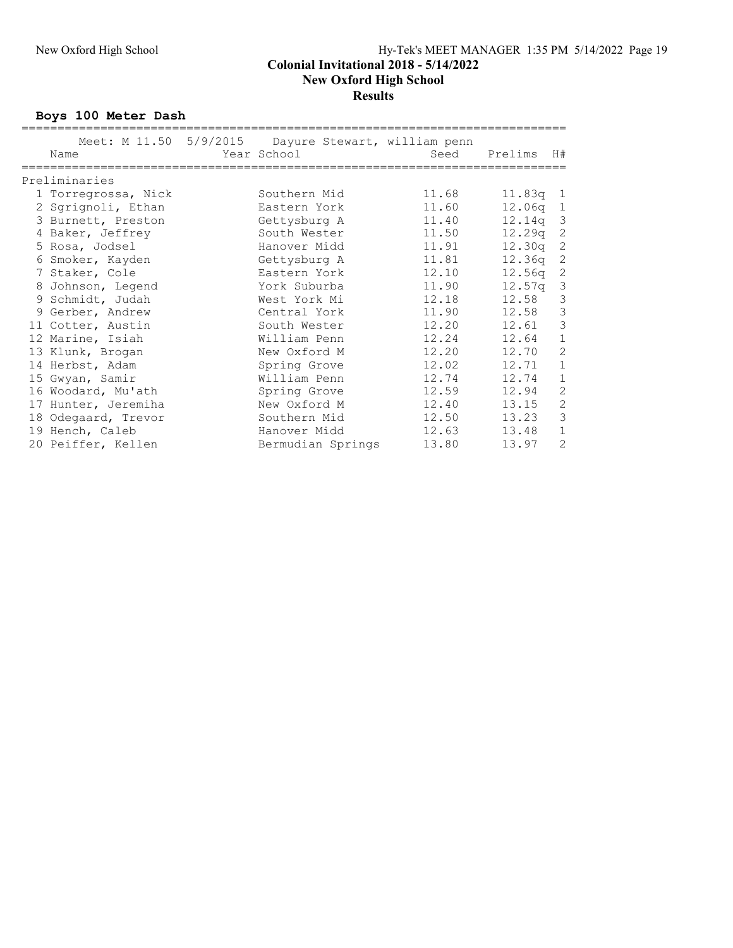### New Oxford High School **Results**

Boys 100 Meter Dash

| Name                | Meet: M 11.50 5/9/2015 Dayure Stewart, william penn<br>Year School | Seed  | Prelims | H#             |
|---------------------|--------------------------------------------------------------------|-------|---------|----------------|
| Preliminaries       |                                                                    |       |         |                |
| 1 Torregrossa, Nick | Southern Mid                                                       | 11.68 | 11.83g  | 1              |
| 2 Sgrignoli, Ethan  | Eastern York                                                       | 11.60 | 12.06q  | $\mathbf{1}$   |
| 3 Burnett, Preston  | Gettysburg A                                                       | 11.40 | 12.14a  | 3              |
| 4 Baker, Jeffrey    | South Wester                                                       | 11.50 | 12.29q  | 2              |
| 5 Rosa, Jodsel      | Hanover Midd                                                       | 11.91 | 12.30q  | 2              |
| 6 Smoker, Kayden    | Gettysburg A                                                       | 11.81 | 12.36q  | $\overline{c}$ |
| 7 Staker, Cole      | Eastern York                                                       | 12.10 | 12.56q  | 2              |
| 8 Johnson, Legend   | York Suburba                                                       | 11.90 | 12.57q  | 3              |
| 9 Schmidt, Judah    | West York Mi                                                       | 12.18 | 12.58   | 3              |
| 9 Gerber, Andrew    | Central York                                                       | 11.90 | 12.58   | $\mathfrak{Z}$ |
| 11 Cotter, Austin   | South Wester                                                       | 12.20 | 12.61   | $\mathfrak{Z}$ |
| 12 Marine, Isiah    | William Penn                                                       | 12.24 | 12.64   | $\mathbf 1$    |
| 13 Klunk, Brogan    | New Oxford M                                                       | 12.20 | 12.70   | $\overline{c}$ |
| 14 Herbst, Adam     | Spring Grove                                                       | 12.02 | 12.71   | $\mathbf{1}$   |
| 15 Gwyan, Samir     | William Penn                                                       | 12.74 | 12.74   | $\mathbf 1$    |
| 16 Woodard, Mu'ath  | Spring Grove                                                       | 12.59 | 12.94   | $\mathbf{2}$   |
| 17 Hunter, Jeremiha | New Oxford M                                                       | 12.40 | 13.15   | $\overline{c}$ |
| 18 Odegaard, Trevor | Southern Mid                                                       | 12.50 | 13.23   | 3              |
| 19 Hench, Caleb     | Hanover Midd                                                       | 12.63 | 13.48   | 1              |
| 20 Peiffer, Kellen  | Bermudian Springs                                                  | 13.80 | 13.97   | 2              |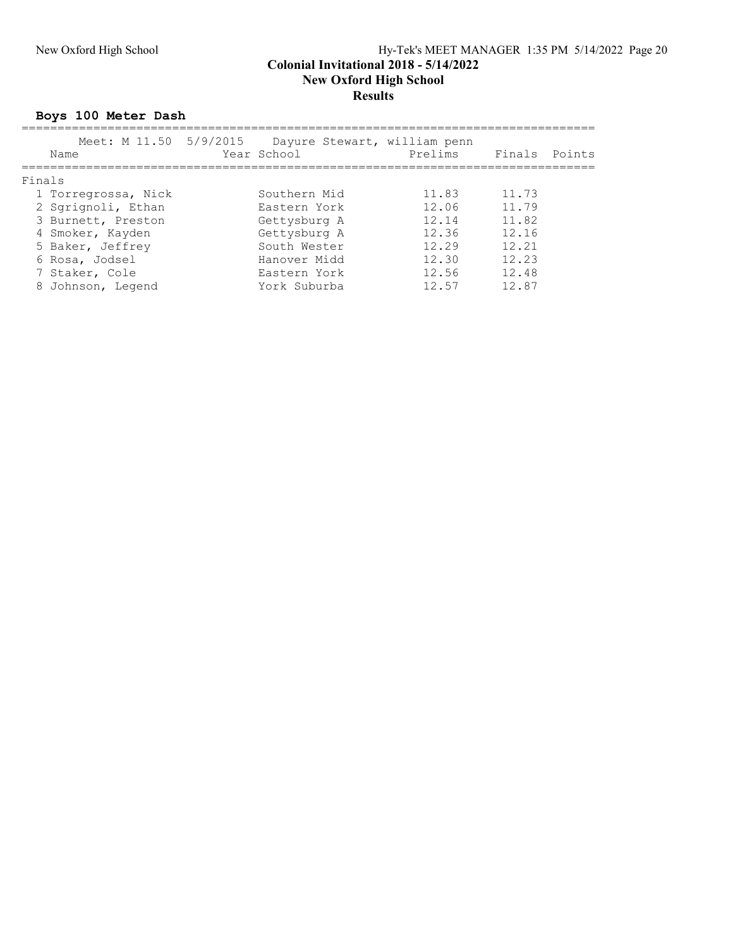#### New Oxford High School Hy-Tek's MEET MANAGER 1:35 PM 5/14/2022 Page 20 Colonial Invitational 2018 - 5/14/2022 New Oxford High School **Results**

Boys 100 Meter Dash

|        | Name                | Meet: M 11.50 5/9/2015 Dayure Stewart, william penn<br>Year School | Prelims | Finals Points |  |
|--------|---------------------|--------------------------------------------------------------------|---------|---------------|--|
| Finals |                     |                                                                    |         |               |  |
|        | 1 Torregrossa, Nick | Southern Mid                                                       | 11.83   | 11.73         |  |
|        | 2 Sqriqnoli, Ethan  | Eastern York                                                       | 12.06   | 11.79         |  |
|        | 3 Burnett, Preston  | Gettysburg A                                                       | 12.14   | 11.82         |  |
|        | 4 Smoker, Kayden    | Gettysburg A                                                       | 12.36   | 12.16         |  |
|        | 5 Baker, Jeffrey    | South Wester                                                       | 12.29   | 12.21         |  |
|        | 6 Rosa, Jodsel      | Hanover Midd                                                       | 12.30   | 12.23         |  |
|        | 7 Staker, Cole      | Eastern York                                                       | 12.56   | 12.48         |  |
|        | 8 Johnson, Legend   | York Suburba                                                       | 12.57   | 12.87         |  |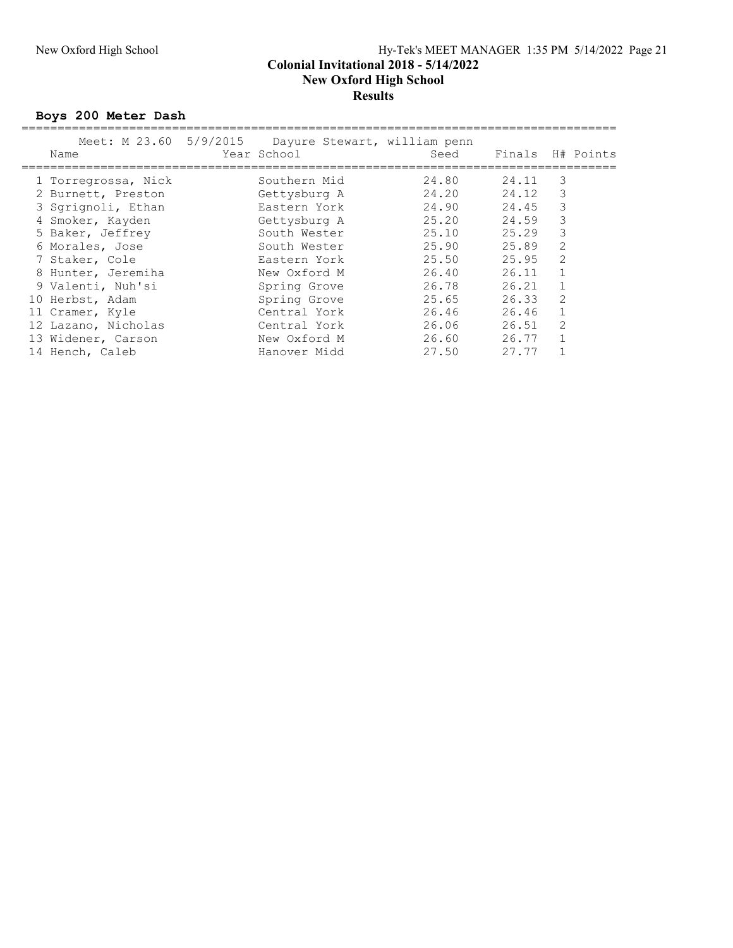#### New Oxford High School Hy-Tek's MEET MANAGER 1:35 PM 5/14/2022 Page 21 Colonial Invitational 2018 - 5/14/2022 New Oxford High School **Results**

Boys 200 Meter Dash

| Name                | Meet: M 23.60 5/9/2015 Dayure Stewart, william penn<br>Year School |              | Seed  | Finals |                | H# Points |
|---------------------|--------------------------------------------------------------------|--------------|-------|--------|----------------|-----------|
| 1 Torregrossa, Nick |                                                                    | Southern Mid | 24.80 | 24.11  | 3              |           |
| 2 Burnett, Preston  |                                                                    | Gettysburg A | 24.20 | 24.12  | 3              |           |
| 3 Sqriqnoli, Ethan  |                                                                    | Eastern York | 24.90 | 24.45  | 3              |           |
| 4 Smoker, Kayden    |                                                                    | Gettysburg A | 25.20 | 24.59  | 3              |           |
| 5 Baker, Jeffrey    |                                                                    | South Wester | 25.10 | 25.29  | 3              |           |
| 6 Morales, Jose     |                                                                    | South Wester | 25.90 | 25.89  | 2              |           |
| 7 Staker, Cole      |                                                                    | Eastern York | 25.50 | 25.95  | $\overline{2}$ |           |
| 8 Hunter, Jeremiha  |                                                                    | New Oxford M | 26.40 | 26.11  |                |           |
| 9 Valenti, Nuh'si   |                                                                    | Spring Grove | 26.78 | 26.21  |                |           |
| 10 Herbst, Adam     |                                                                    | Spring Grove | 25.65 | 26.33  | 2              |           |
| 11 Cramer, Kyle     |                                                                    | Central York | 26.46 | 26.46  | $\mathbf{1}$   |           |
| 12 Lazano, Nicholas |                                                                    | Central York | 26.06 | 26.51  | $\overline{2}$ |           |
| 13 Widener, Carson  |                                                                    | New Oxford M | 26.60 | 26.77  |                |           |
| 14 Hench, Caleb     |                                                                    | Hanover Midd | 27.50 | 27.77  |                |           |
|                     |                                                                    |              |       |        |                |           |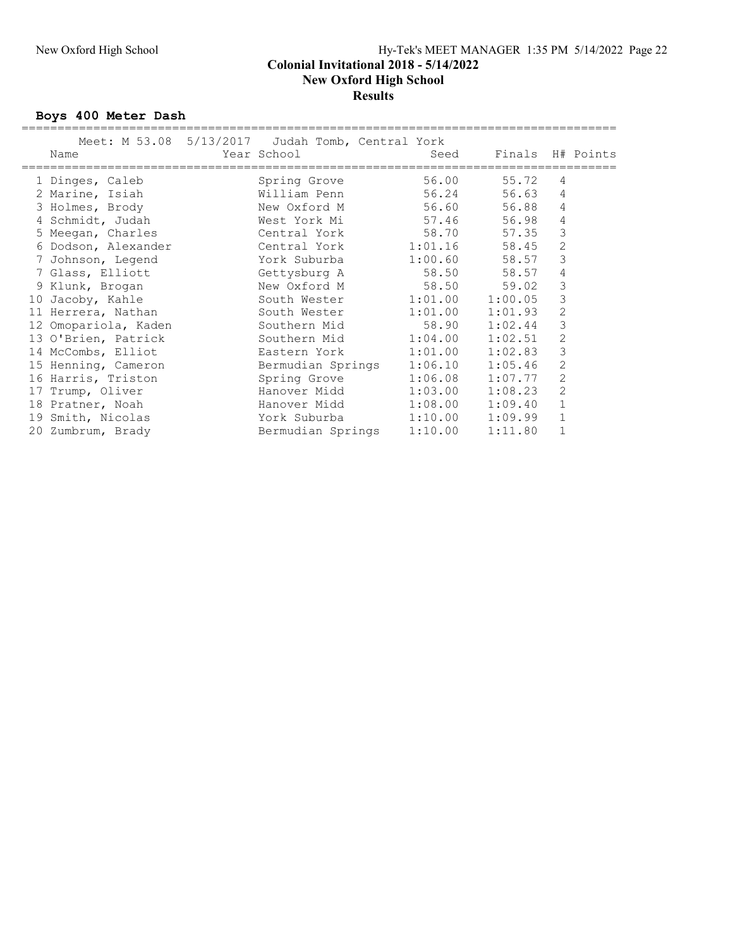### New Oxford High School Hy-Tek's MEET MANAGER 1:35 PM 5/14/2022 Page 22 Colonial Invitational 2018 - 5/14/2022 New Oxford High School **Results**

Boys 400 Meter Dash

| Meet: M 53.08 5/13/2017 Judah Tomb, Central York<br>Name | Year School               | Seed    | Finals H# Points |                |  |
|----------------------------------------------------------|---------------------------|---------|------------------|----------------|--|
| 1 Dinges, Caleb                                          | Spring Grove              | 56.00   | 55.72            | 4              |  |
| 2 Marine, Isiah                                          | William Penn              | 56.24   | 56.63            | 4              |  |
| 3 Holmes, Brody                                          | New Oxford M              | 56.60   | 56.88            | 4              |  |
| 4 Schmidt, Judah                                         | West York Mi 57.46        |         | 56.98            | 4              |  |
| 5 Meegan, Charles                                        | Central York              | 58.70   | 57.35            | 3              |  |
| 6 Dodson, Alexander                                      | Central York 1:01.16      |         | 58.45            | 2              |  |
| 7 Johnson, Legend                                        | York Suburba              | 1:00.60 | 58.57            | 3              |  |
| 7 Glass, Elliott                                         | Gettysburg A              | 58.50   | 58.57            | 4              |  |
| 9 Klunk, Brogan                                          | New Oxford M              | 58.50   | 59.02            | 3              |  |
| 10 Jacoby, Kahle                                         | South Wester 1:01.00      |         | 1:00.05          | 3              |  |
| 11 Herrera, Nathan                                       | South Wester 1:01.00      |         | 1:01.93          | $\overline{2}$ |  |
| 12 Omopariola, Kaden                                     | Southern Mid              | 58.90   | 1:02.44          | 3              |  |
| 13 O'Brien, Patrick                                      | Southern Mid 1:04.00      |         | 1:02.51          | $\overline{2}$ |  |
| 14 McCombs, Elliot                                       | Eastern York 1:01.00      |         | 1:02.83          | 3              |  |
| 15 Henning, Cameron                                      | Bermudian Springs 1:06.10 |         | 1:05.46          | 2              |  |
| 16 Harris, Triston                                       | Spring Grove 1:06.08      |         | 1:07.77          | $\overline{2}$ |  |
| 17 Trump, Oliver                                         | Hanover Midd              | 1:03.00 | 1:08.23          | 2              |  |
| 18 Pratner, Noah                                         | Hanover Midd              | 1:08.00 | 1:09.40          | $\mathbf{1}$   |  |
| 19 Smith, Nicolas                                        | York Suburba 1:10.00      |         | 1:09.99          | $\mathbf 1$    |  |
| 20 Zumbrum, Brady                                        | Bermudian Springs         | 1:10.00 | 1:11.80          |                |  |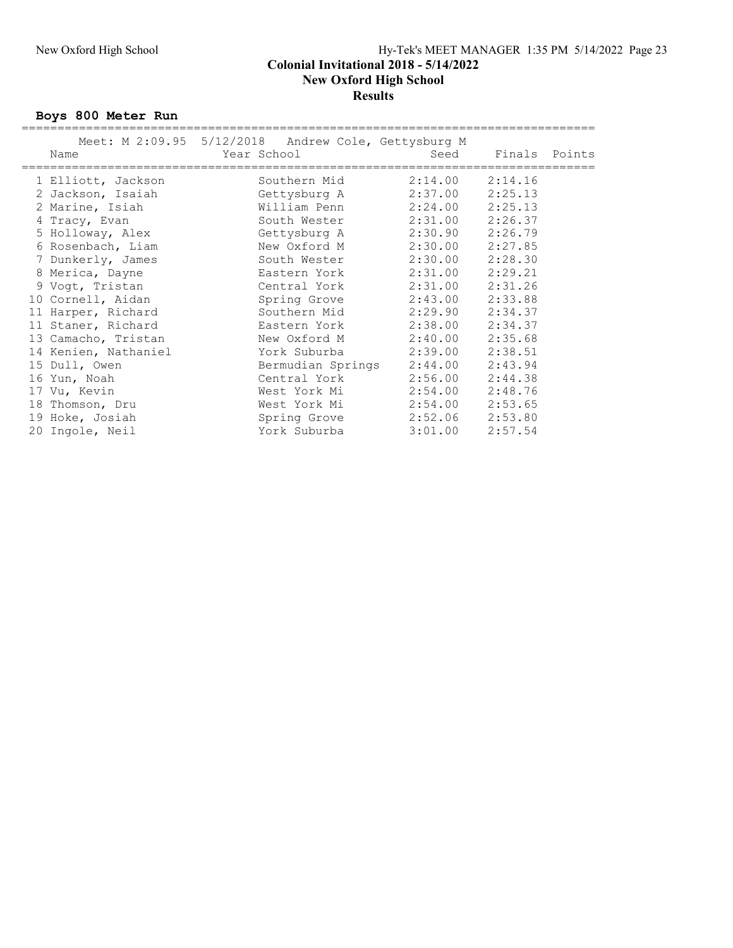### New Oxford High School Hy-Tek's MEET MANAGER 1:35 PM 5/14/2022 Page 23 Colonial Invitational 2018 - 5/14/2022 New Oxford High School **Results**

Boys 800 Meter Run

| Meet: M 2:09.95 5/12/2018 Andrew Cole, Gettysburg M<br>Name | Year School |                   | Seed                | Finals Points |  |
|-------------------------------------------------------------|-------------|-------------------|---------------------|---------------|--|
| 1 Elliott, Jackson                                          |             | Southern Mid      | $2:14.00$ $2:14.16$ |               |  |
| 2 Jackson, Isaiah                                           |             | Gettysburg A      | 2:37.00             | 2:25.13       |  |
| 2 Marine, Isiah                                             |             | William Penn      | $2:24.00$ $2:25.13$ |               |  |
| 4 Tracy, Evan                                               |             | South Wester      | $2:31.00$ $2:26.37$ |               |  |
| 5 Holloway, Alex                                            |             | Gettysburg A      | $2:30.90$ $2:26.79$ |               |  |
| 6 Rosenbach, Liam                                           |             | New Oxford M      | $2:30.00$ $2:27.85$ |               |  |
| 7 Dunkerly, James                                           |             | South Wester      | 2:30.00             | 2:28.30       |  |
| 8 Merica, Dayne                                             |             | Eastern York      | 2:31.00             | 2:29.21       |  |
| 9 Voqt, Tristan                                             |             | Central York      | 2:31.00             | 2:31.26       |  |
| 10 Cornell, Aidan                                           |             | Spring Grove      | $2:43.00$ $2:33.88$ |               |  |
| 11 Harper, Richard                                          |             | Southern Mid      | 2:29.90 2:34.37     |               |  |
| 11 Staner, Richard                                          |             | Eastern York      | 2:38.00             | 2:34.37       |  |
| 13 Camacho, Tristan                                         |             | New Oxford M      | $2:40.00$ $2:35.68$ |               |  |
| 14 Kenien, Nathaniel                                        |             | York Suburba      | 2:39.00             | 2:38.51       |  |
| 15 Dull, Owen                                               |             | Bermudian Springs | 2:44.00             | 2:43.94       |  |
| 16 Yun, Noah                                                |             | Central York      | 2:56.00             | 2:44.38       |  |
| 17 Vu, Kevin                                                |             | West York Mi      | $2:54.00$ $2:48.76$ |               |  |
| 18 Thomson, Dru                                             |             | West York Mi      | $2:54.00$ $2:53.65$ |               |  |
| 19 Hoke, Josiah                                             |             | Spring Grove      | 2:52.06 2:53.80     |               |  |
| 20 Ingole, Neil                                             |             | York Suburba      | 3:01.00             | 2:57.54       |  |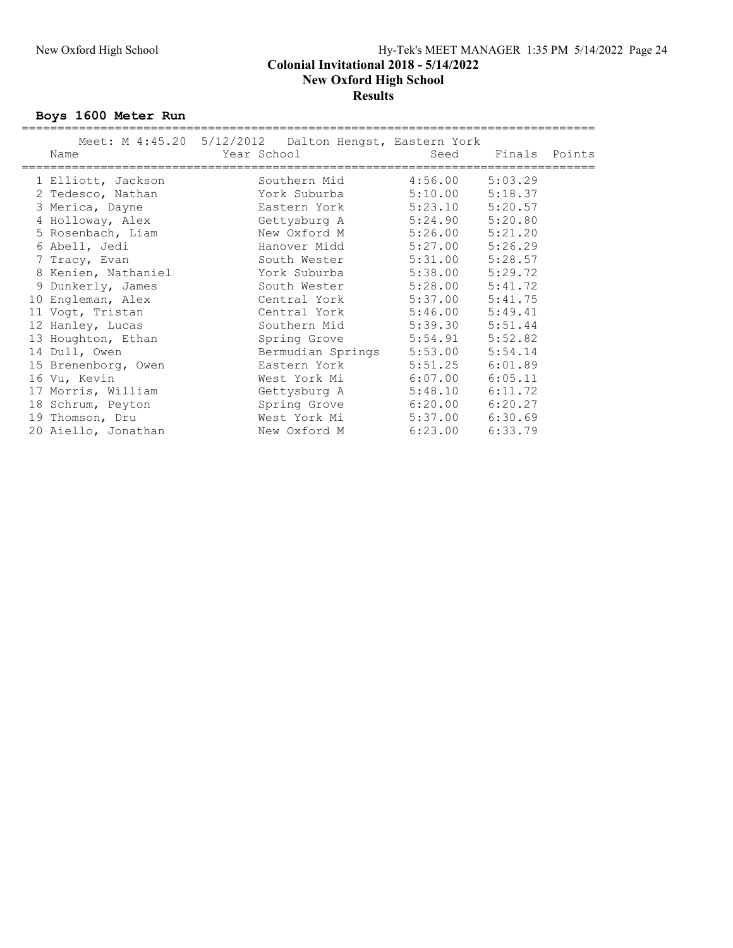### New Oxford High School Hy-Tek's MEET MANAGER 1:35 PM 5/14/2022 Page 24 Colonial Invitational 2018 - 5/14/2022 New Oxford High School **Results**

Boys 1600 Meter Run

| Meet: M 4:45.20 5/12/2012 Dalton Hengst, Eastern York<br>Name | Year School |                   | Seed                |         | Finals Points |
|---------------------------------------------------------------|-------------|-------------------|---------------------|---------|---------------|
|                                                               |             |                   |                     |         |               |
| 1 Elliott, Jackson                                            |             | Southern Mid      | $4:56.00$ $5:03.29$ |         |               |
| 2 Tedesco, Nathan                                             |             | York Suburba      | $5:10.00$ $5:18.37$ |         |               |
| 3 Merica, Dayne                                               |             | Eastern York      | $5:23.10$ $5:20.57$ |         |               |
| 4 Holloway, Alex                                              |             | Gettysburg A      | $5:24.90$ $5:20.80$ |         |               |
| 5 Rosenbach, Liam                                             |             | New Oxford M      | $5:26.00$ $5:21.20$ |         |               |
| 6 Abell, Jedi                                                 |             | Hanover Midd      | $5:27.00$ $5:26.29$ |         |               |
| 7 Tracy, Evan                                                 |             | South Wester      | 5:31.00             | 5:28.57 |               |
| 8 Kenien, Nathaniel                                           |             | York Suburba      | $5:38.00$ $5:29.72$ |         |               |
| 9 Dunkerly, James                                             |             | South Wester      | $5:28.00$ $5:41.72$ |         |               |
| 10 Engleman, Alex                                             |             | Central York      | $5:37.00$ $5:41.75$ |         |               |
| 11 Vogt, Tristan                                              |             | Central York      | $5:46.00$ $5:49.41$ |         |               |
| 12 Hanley, Lucas                                              |             | Southern Mid      | $5:39.30$ $5:51.44$ |         |               |
| 13 Houghton, Ethan                                            |             | Spring Grove      | $5:54.91$ $5:52.82$ |         |               |
| 14 Dull, Owen                                                 |             | Bermudian Springs | 5:53.00             | 5:54.14 |               |
| 15 Brenenborg, Owen                                           |             | Eastern York      | $5:51.25$ $6:01.89$ |         |               |
| 16 Vu, Kevin                                                  |             | West York Mi      | $6:07.00$ $6:05.11$ |         |               |
| 17 Morris, William                                            |             | Gettysburg A      | $5:48.10$ $6:11.72$ |         |               |
| 18 Schrum, Peyton                                             |             | Spring Grove      | $6:20.00$ $6:20.27$ |         |               |
| 19 Thomson, Dru                                               |             | West York Mi      | 5:37.00             | 6:30.69 |               |
| 20 Aiello, Jonathan                                           |             | New Oxford M      | 6:23.00             | 6:33.79 |               |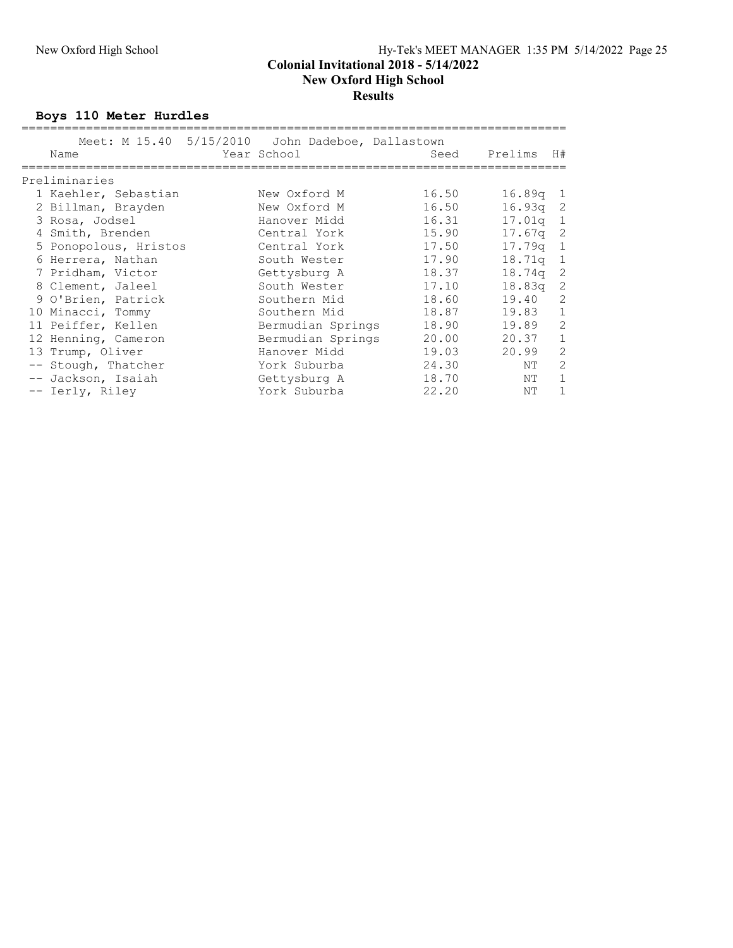#### New Oxford High School Hy-Tek's MEET MANAGER 1:35 PM 5/14/2022 Page 25 Colonial Invitational 2018 - 5/14/2022

New Oxford High School

## **Results**

Boys 110 Meter Hurdles

|                       | Meet: M 15.40 5/15/2010 John Dadeboe, Dallastown<br>Year School |       | Prelims    | H#           |
|-----------------------|-----------------------------------------------------------------|-------|------------|--------------|
| Name                  |                                                                 | Seed  |            |              |
| Preliminaries         |                                                                 |       |            |              |
| 1 Kaehler, Sebastian  | New Oxford M                                                    | 16.50 | $16.89q$ 1 |              |
| 2 Billman, Brayden    | New Oxford M                                                    | 16.50 | $16.93q$ 2 |              |
| 3 Rosa, Jodsel        | Hanover Midd                                                    | 16.31 | $17.01q$ 1 |              |
| 4 Smith, Brenden      | Central York                                                    | 15.90 | 17.67a     | -2           |
| 5 Ponopolous, Hristos | Central York                                                    | 17.50 | 17.79a     | $\mathbf{1}$ |
| 6 Herrera, Nathan     | South Wester                                                    | 17.90 | 18.71g     | $\mathbf{1}$ |
| 7 Pridham, Victor     | Gettysburg A                                                    | 18.37 | 18.74q     | 2            |
| 8 Clement, Jaleel     | South Wester                                                    | 17.10 | 18.83q     | 2            |
| 9 O'Brien, Patrick    | Southern Mid                                                    | 18.60 | 19.40      | 2            |
| 10 Minacci, Tommy     | Southern Mid                                                    | 18.87 | 19.83      | $\mathbf{1}$ |
| 11 Peiffer, Kellen    | Bermudian Springs                                               | 18.90 | 19.89      | 2            |
| 12 Henning, Cameron   | Bermudian Springs                                               | 20.00 | 20.37      | $\mathbf{1}$ |
| 13 Trump, Oliver      | Hanover Midd                                                    | 19.03 | 20.99      | 2            |
| -- Stough, Thatcher   | York Suburba                                                    | 24.30 | ΝT         | 2            |
| -- Jackson, Isaiah    | Gettysburg A                                                    | 18.70 | NΤ         | $\mathbf{1}$ |
| -- Ierly, Riley       | York Suburba                                                    | 22.20 | NΤ         |              |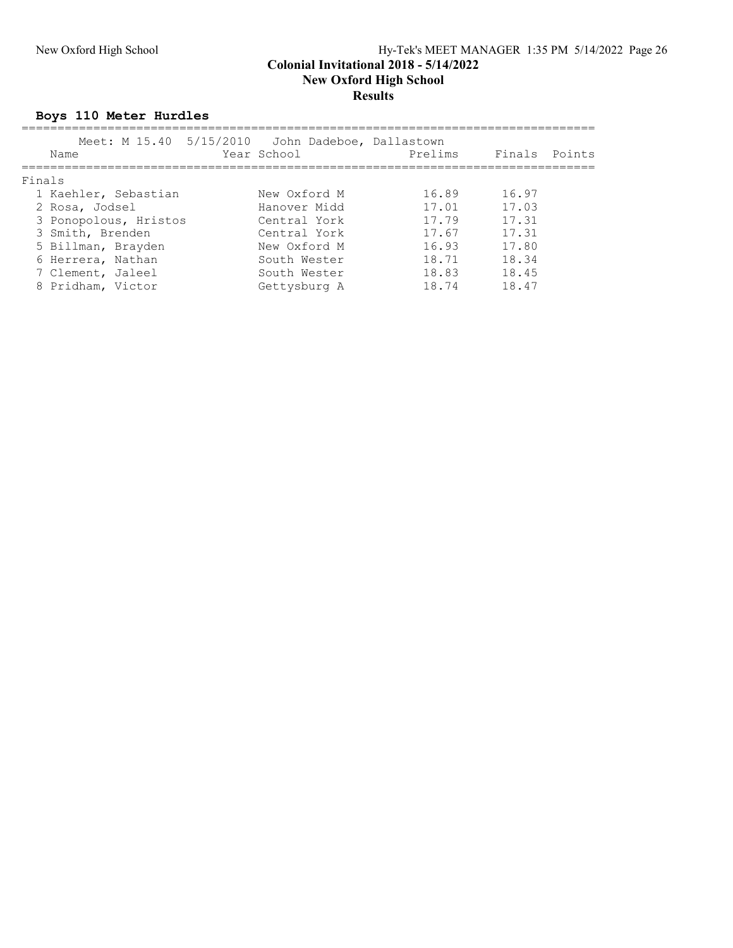#### New Oxford High School Hy-Tek's MEET MANAGER 1:35 PM 5/14/2022 Page 26 Colonial Invitational 2018 - 5/14/2022 New Oxford High School **Results**

## Boys 110 Meter Hurdles

| Name                  | Meet: M 15.40 5/15/2010 John Dadeboe, Dallastown<br>Year School | Prelims |       | Finals Points |
|-----------------------|-----------------------------------------------------------------|---------|-------|---------------|
| Finals                |                                                                 |         |       |               |
| 1 Kaehler, Sebastian  | New Oxford M                                                    | 16.89   | 16.97 |               |
| 2 Rosa, Jodsel        | Hanover Midd                                                    | 17.01   | 17.03 |               |
| 3 Ponopolous, Hristos | Central York                                                    | 17.79   | 17.31 |               |
| 3 Smith, Brenden      | Central York                                                    | 17.67   | 17.31 |               |
| 5 Billman, Brayden    | New Oxford M                                                    | 16.93   | 17.80 |               |
| 6 Herrera, Nathan     | South Wester                                                    | 18.71   | 18.34 |               |
| 7 Clement, Jaleel     | South Wester                                                    | 18.83   | 18.45 |               |
| 8 Pridham, Victor     | Gettysburg A                                                    | 18.74   | 18.47 |               |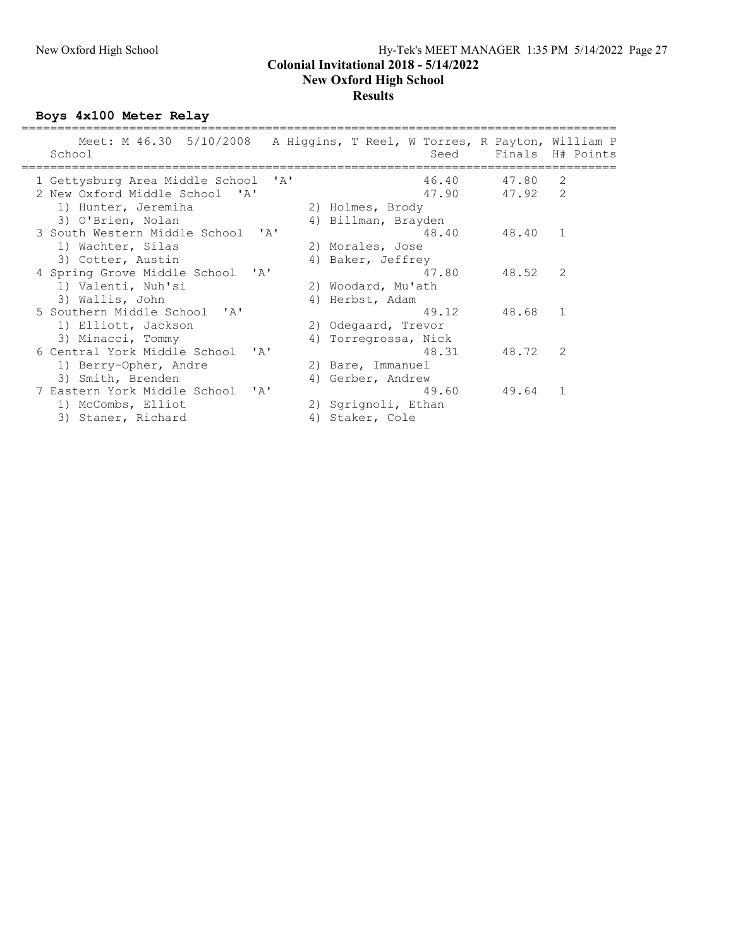### New Oxford High School Hy-Tek's MEET MANAGER 1:35 PM 5/14/2022 Page 27 Colonial Invitational 2018 - 5/14/2022 New Oxford High School **Results**

Boys 4x100 Meter Relay

| Meet: M 46.30 5/10/2008<br>School                            | A Higgins, T Reel, W Torres, R Payton, William P | Seed  |       | Finals H# Points |
|--------------------------------------------------------------|--------------------------------------------------|-------|-------|------------------|
| 1 Gettysburg Area Middle School<br>$^{\prime}$ A $^{\prime}$ |                                                  | 46.40 | 47.80 | 2                |
| 2 New Oxford Middle School 'A'                               |                                                  | 47.90 | 47.92 | 2                |
| 1) Hunter, Jeremiha                                          | 2) Holmes, Brody                                 |       |       |                  |
| 3) O'Brien, Nolan                                            | 4) Billman, Brayden                              |       |       |                  |
| 3 South Western Middle School 'A'                            |                                                  | 48.40 | 48.40 | $\mathbf{1}$     |
| 1) Wachter, Silas                                            | 2) Morales, Jose                                 |       |       |                  |
| 3) Cotter, Austin                                            | 4) Baker, Jeffrey                                |       |       |                  |
| 4 Spring Grove Middle School<br>$\mathbf{A}$                 |                                                  | 47.80 | 48.52 | 2                |
| 1) Valenti, Nuh'si                                           | 2) Woodard, Mu'ath                               |       |       |                  |
| 3) Wallis, John                                              | 4) Herbst, Adam                                  |       |       |                  |
| 5 Southern Middle School 'A'                                 |                                                  | 49.12 | 48.68 | $\overline{1}$   |
| 1) Elliott, Jackson                                          | 2) Odegaard, Trevor                              |       |       |                  |
| 3) Minacci, Tommy                                            | 4) Torregrossa, Nick                             |       |       |                  |
| 6 Central York Middle School<br>$\mathsf{r}_{\mathsf{A}}$    |                                                  | 48.31 | 48.72 | $\mathcal{L}$    |
| 1) Berry-Opher, Andre                                        | 2) Bare, Immanuel                                |       |       |                  |
| 3) Smith, Brenden                                            | 4) Gerber, Andrew                                |       |       |                  |
| 7 Eastern York Middle School<br>יבי                          |                                                  | 49.60 | 49.64 | $\mathbf{1}$     |
| 1) McCombs, Elliot                                           | 2) Sqrignoli, Ethan                              |       |       |                  |
| 3) Staner, Richard                                           | 4) Staker, Cole                                  |       |       |                  |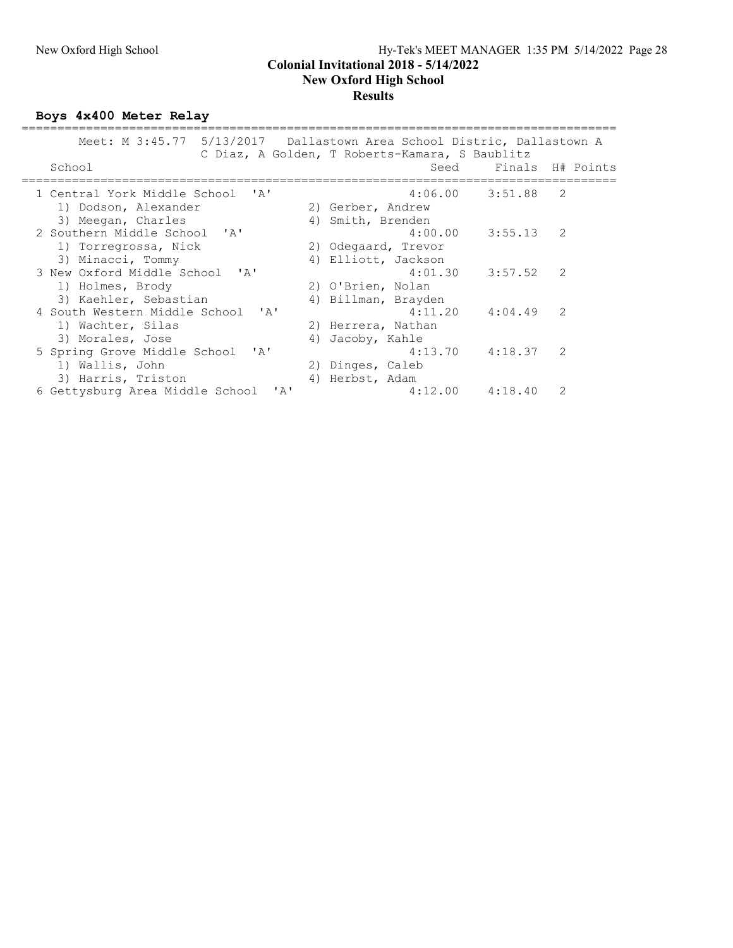#### New Oxford High School Hy-Tek's MEET MANAGER 1:35 PM 5/14/2022 Page 28 Colonial Invitational 2018 - 5/14/2022 New Oxford High School Results

Boys 4x400 Meter Relay

| Meet: M 3:45.77 5/13/2017 Dallastown Area School Distric, Dallastown A | C Diaz, A Golden, T Roberts-Kamara, S Baublitz |                       |                  |
|------------------------------------------------------------------------|------------------------------------------------|-----------------------|------------------|
| School                                                                 | Seed                                           |                       | Finals H# Points |
| 1 Central York Middle School 'A'                                       |                                                | $4:06.00$ $3:51.88$ 2 |                  |
| 1) Dodson, Alexander                                                   | 2) Gerber, Andrew                              |                       |                  |
| 3) Meegan, Charles                                                     | 4) Smith, Brenden                              |                       |                  |
| 2 Southern Middle School 'A'                                           | 4:00.00                                        | $3:55.13$ 2           |                  |
| 1) Torregrossa, Nick                                                   | 2) Odegaard, Trevor                            |                       |                  |
| 3) Minacci, Tommy                                                      | 4) Elliott, Jackson                            |                       |                  |
| 3 New Oxford Middle School 'A'                                         |                                                | $4:01.30$ $3:57.52$ 2 |                  |
| 1) Holmes, Brody                                                       | 2) O'Brien, Nolan                              |                       |                  |
| 3) Kaehler, Sebastian                                                  | 4) Billman, Brayden                            |                       |                  |
| 4 South Western Middle School 'A'                                      | 4:11.20                                        | $4:04.49$ 2           |                  |
| 1) Wachter, Silas                                                      | 2) Herrera, Nathan                             |                       |                  |
| 3) Morales, Jose                                                       | 4) Jacoby, Kahle                               |                       |                  |
| 5 Spring Grove Middle School<br>$\mathsf{Z}$                           | 4:13.70                                        | 4:18.37               | $\mathcal{L}$    |
| 1) Wallis, John                                                        | 2) Dinges, Caleb                               |                       |                  |
| 3) Harris, Triston                                                     | 4) Herbst, Adam                                |                       |                  |
| 6 Gettysburg Area Middle School<br>$^{\prime}$ A $^{\prime}$           |                                                | $4:12.00$ $4:18.40$   | 2                |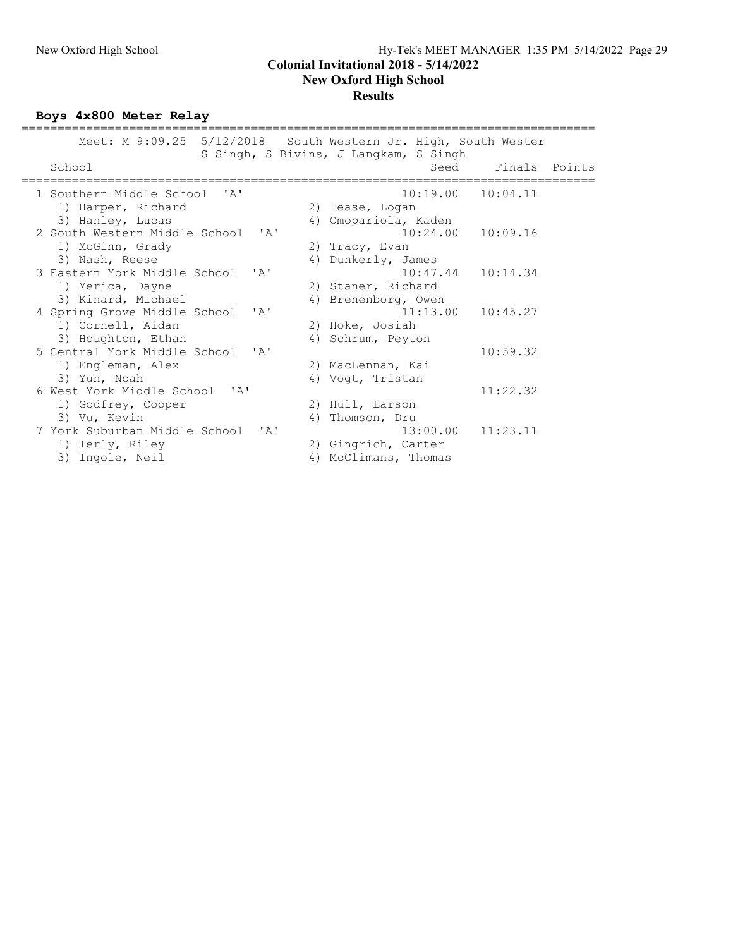#### New Oxford High School Hy-Tek's MEET MANAGER 1:35 PM 5/14/2022 Page 29 Colonial Invitational 2018 - 5/14/2022 New Oxford High School Results

Boys 4x800 Meter Relay

| Meet: M 9:09.25 5/12/2018 South Western Jr. High, South Wester |                                        |                                       |                       |               |  |
|----------------------------------------------------------------|----------------------------------------|---------------------------------------|-----------------------|---------------|--|
|                                                                |                                        | S Singh, S Bivins, J Langkam, S Singh |                       |               |  |
| School                                                         |                                        |                                       | Seed                  | Finals Points |  |
| 1 Southern Middle School 'A'                                   |                                        |                                       | $10:19.00$ $10:04.11$ |               |  |
| 1) Harper, Richard                                             |                                        | 2) Lease, Logan                       |                       |               |  |
| 3) Hanley, Lucas                                               |                                        | 4) Omopariola, Kaden                  |                       |               |  |
| 2 South Western Middle School                                  | ' A'                                   |                                       | 10:24.00              | 10:09.16      |  |
| 1) McGinn, Grady                                               |                                        | 2) Tracy, Evan                        |                       |               |  |
| 3) Nash, Reese                                                 |                                        | 4) Dunkerly, James                    |                       |               |  |
| 3 Eastern York Middle School                                   | $\mathsf{r}$ $\mathsf{A}$ $\mathsf{r}$ |                                       | $10:47.44$ $10:14.34$ |               |  |
| 1) Merica, Dayne                                               |                                        | 2) Staner, Richard                    |                       |               |  |
| 3) Kinard, Michael                                             |                                        | 4) Brenenborg, Owen                   |                       |               |  |
| 4 Spring Grove Middle School                                   | $\mathsf{r}$ $\mathsf{a}$              |                                       | 11:13.00              | 10:45.27      |  |
| 1) Cornell, Aidan                                              |                                        | 2) Hoke, Josiah                       |                       |               |  |
| 3) Houghton, Ethan                                             |                                        | 4) Schrum, Peyton                     |                       |               |  |
| 5 Central York Middle School 'A'                               |                                        |                                       |                       | 10:59.32      |  |
| 1) Engleman, Alex                                              |                                        | 2) MacLennan, Kai                     |                       |               |  |
| 3) Yun, Noah                                                   |                                        | 4) Voqt, Tristan                      |                       |               |  |
| 6 West York Middle School 'A'                                  |                                        |                                       |                       | 11:22.32      |  |
| 1) Godfrey, Cooper                                             |                                        | 2) Hull, Larson                       |                       |               |  |
| 3) Vu, Kevin                                                   |                                        | 4) Thomson, Dru                       |                       |               |  |
| 7 York Suburban Middle School                                  | $\mathsf{r}_{\mathsf{A}}$              |                                       | $13:00.00$ $11:23.11$ |               |  |
| 1) Ierly, Riley                                                |                                        | 2) Gingrich, Carter                   |                       |               |  |
| 3) Ingole, Neil                                                |                                        | 4) McClimans, Thomas                  |                       |               |  |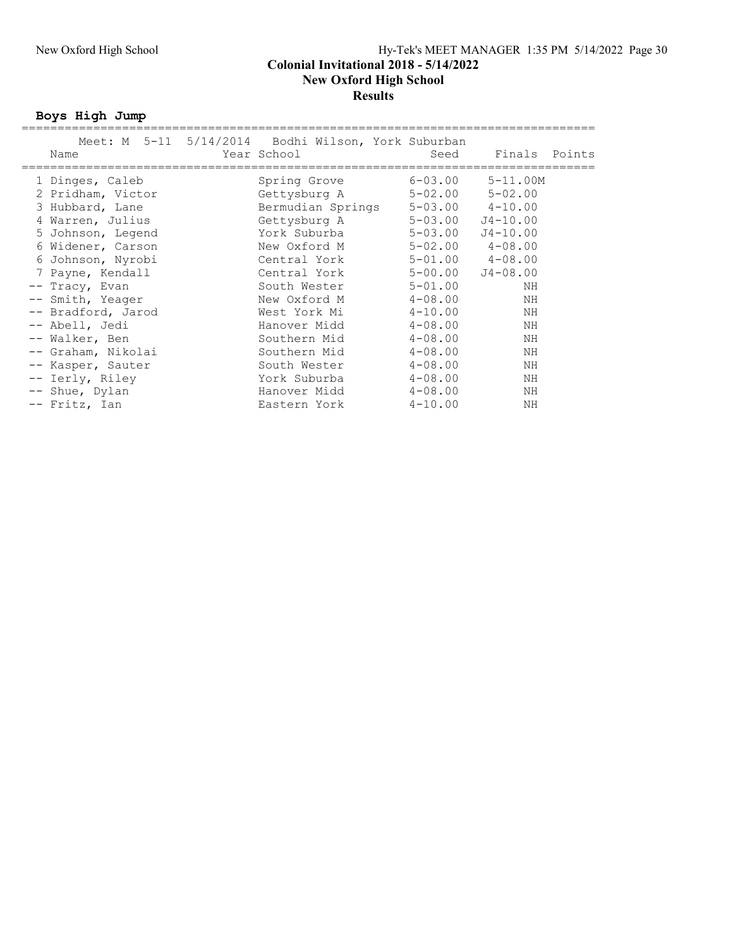### New Oxford High School Hy-Tek's MEET MANAGER 1:35 PM 5/14/2022 Page 30 Colonial Invitational 2018 - 5/14/2022 New Oxford High School **Results**

Boys High Jump

| Name                                                                                                                                                                                                                                                                                                                                                          | Meet: M 5-11 5/14/2014 Bodhi Wilson, York Suburban<br>Year School                                                                                                                                                                                                                                 | Seed                                                                                                                                                                                                       | Finals Points                                                                                                                                                                                                                        |  |
|---------------------------------------------------------------------------------------------------------------------------------------------------------------------------------------------------------------------------------------------------------------------------------------------------------------------------------------------------------------|---------------------------------------------------------------------------------------------------------------------------------------------------------------------------------------------------------------------------------------------------------------------------------------------------|------------------------------------------------------------------------------------------------------------------------------------------------------------------------------------------------------------|--------------------------------------------------------------------------------------------------------------------------------------------------------------------------------------------------------------------------------------|--|
| 1 Dinges, Caleb<br>2 Pridham, Victor<br>3 Hubbard, Lane<br>Warren, Julius<br>5 Johnson, Legend<br>6 Widener, Carson<br>6 Johnson, Nyrobi<br>7 Payne, Kendall<br>-- Tracy, Evan<br>-- Smith, Yeager<br>-- Bradford, Jarod<br>-- Abell, Jedi<br>-- Walker, Ben<br>-- Graham, Nikolai<br>-- Kasper, Sauter<br>-- Ierly, Riley<br>-- Shue, Dylan<br>-- Fritz, Ian | Spring Grove<br>Gettysburg A<br>Bermudian Springs<br>Gettysburg A<br>York Suburba<br>New Oxford M<br>Central York<br>Central York<br>South Wester<br>New Oxford M<br>West York Mi<br>Hanover Midd<br>Southern Mid<br>Southern Mid<br>South Wester<br>York Suburba<br>Hanover Midd<br>Eastern York | $6 - 03.00$<br>$5 - 02.00$<br>5-03.00<br>$5 - 03.00$<br>$5 - 01.00$<br>$4 - 08.00$<br>$4 - 10.00$<br>$4 - 08.00$<br>$4 - 08.00$<br>$4 - 08.00$<br>$4 - 08.00$<br>$4 - 08.00$<br>$4 - 08.00$<br>$4 - 10.00$ | $5 - 11.00M$<br>$5 - 02.00$<br>$5 - 03.00$ $4 - 10.00$<br>$J4 - 10.00$<br>$J4 - 10.00$<br>$5 - 02.00$ $4 - 08.00$<br>$5 - 01.00$ $4 - 08.00$<br>$5 - 00.00$ $J4 - 08.00$<br>ΝH<br>ΝH<br>ΝH<br>ΝH<br>ΝH<br>ΝH<br>ΝH<br>ΝH<br>ΝH<br>NΗ |  |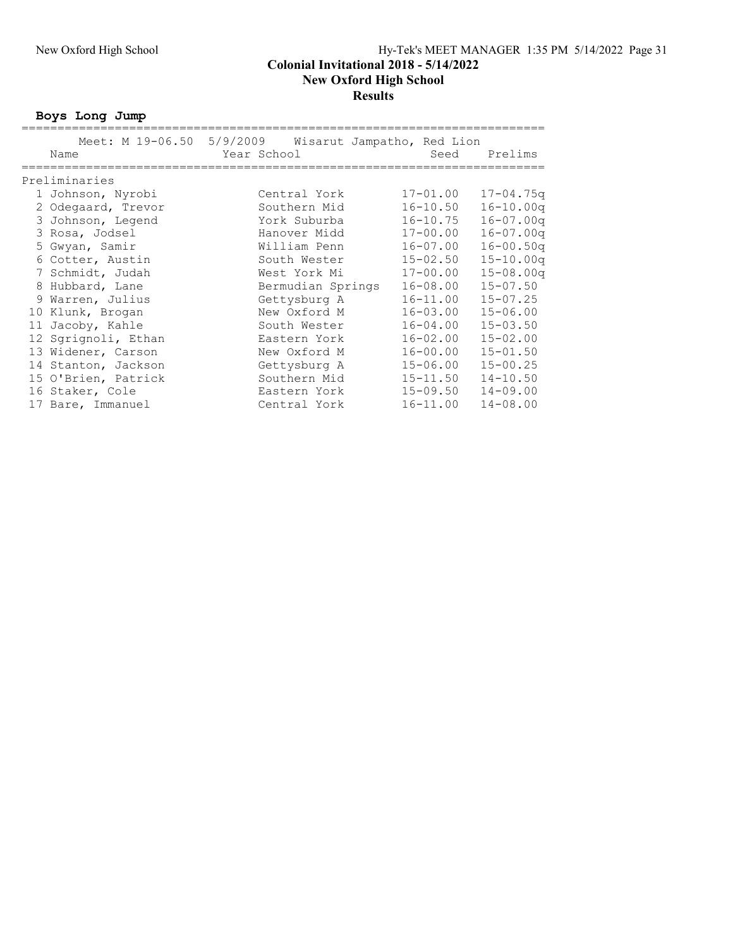Boys Long Jump

|                     | Meet: M 19-06.50 5/9/2009 Wisarut Jampatho, Red Lion |              |                |
|---------------------|------------------------------------------------------|--------------|----------------|
| Name                | Year School                                          | Seed         | Prelims        |
|                     |                                                      |              |                |
| Preliminaries       |                                                      |              |                |
| 1 Johnson, Nyrobi   | Central York                                         | $17 - 01.00$ | $17 - 04.75$ q |
| 2 Odegaard, Trevor  | Southern Mid                                         | $16 - 10.50$ | $16 - 10.00q$  |
| 3 Johnson, Legend   | York Suburba                                         | $16 - 10.75$ | $16 - 07.00q$  |
| 3 Rosa, Jodsel      | Hanover Midd                                         | $17 - 00.00$ | $16 - 07.00q$  |
| 5 Gwyan, Samir      | William Penn                                         | $16 - 07.00$ | $16 - 00.50q$  |
| 6 Cotter, Austin    | South Wester                                         | $15 - 02.50$ | $15 - 10.00q$  |
| 7 Schmidt, Judah    | West York Mi                                         | $17 - 00.00$ | $15 - 08.00q$  |
| 8 Hubbard, Lane     | Bermudian Springs                                    | $16 - 08.00$ | $15 - 07.50$   |
| 9 Warren, Julius    | Gettysburg A                                         | $16 - 11.00$ | $15 - 07.25$   |
| 10 Klunk, Brogan    | New Oxford M                                         | 16-03.00     | $15 - 06.00$   |
| 11 Jacoby, Kahle    | South Wester                                         | 16-04.00     | $15 - 03.50$   |
| 12 Sqrignoli, Ethan | Eastern York                                         | $16 - 02.00$ | $15 - 02.00$   |
| 13 Widener, Carson  | New Oxford M                                         | $16 - 00.00$ | $15 - 01.50$   |
| 14 Stanton, Jackson | Gettysburg A                                         | $15 - 06.00$ | $15 - 00.25$   |
| 15 O'Brien, Patrick | Southern Mid                                         | $15 - 11.50$ | $14 - 10.50$   |
| 16 Staker, Cole     | Eastern York                                         | 15-09.50     | $14 - 09.00$   |
| 17 Bare, Immanuel   | Central York                                         | $16 - 11.00$ | $14 - 08.00$   |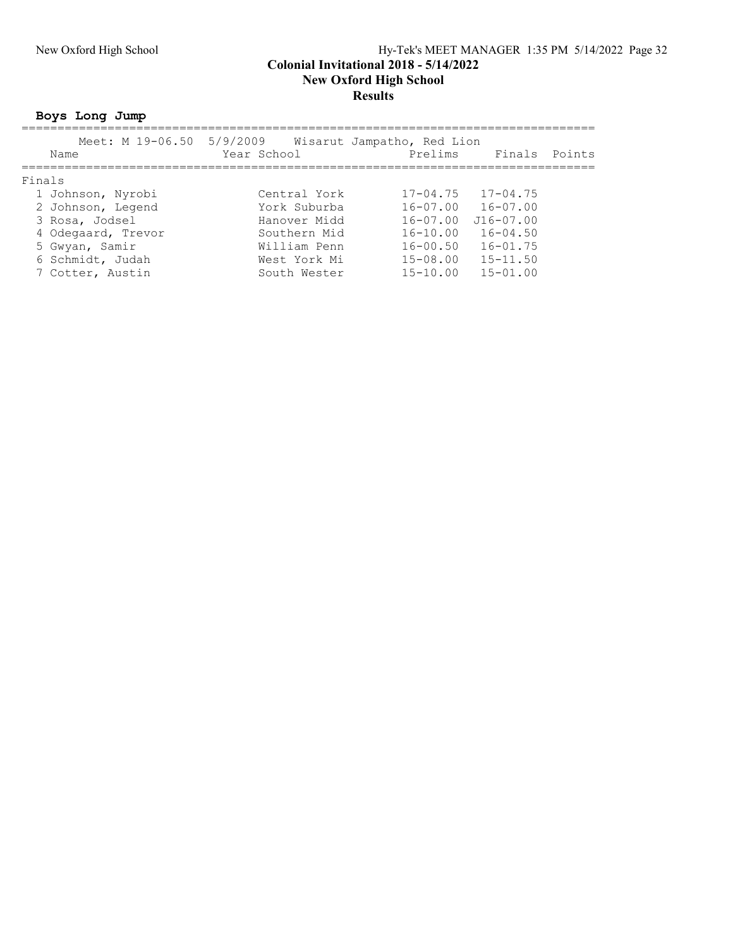### New Oxford High School Hy-Tek's MEET MANAGER 1:35 PM 5/14/2022 Page 32 Colonial Invitational 2018 - 5/14/2022 New Oxford High School Results

## Boys Long Jump

| Meet: M 19-06.50 5/9/2009 |              | Wisarut Jampatho, Red Lion |                           |        |
|---------------------------|--------------|----------------------------|---------------------------|--------|
| Name                      | Year School  | Prelims                    | Finals                    | Points |
|                           |              |                            |                           |        |
| Finals                    |              |                            |                           |        |
| 1 Johnson, Nyrobi         | Central York |                            | $17 - 04.75$ $17 - 04.75$ |        |
| 2 Johnson, Legend         | York Suburba | $16 - 07.00$               | $16 - 07.00$              |        |
| 3 Rosa, Jodsel            | Hanover Midd | $16 - 07.00$               | $J16 - 07.00$             |        |
| 4 Odegaard, Trevor        | Southern Mid | $16 - 10.00$               | $16 - 04.50$              |        |
| 5 Gwyan, Samir            | William Penn | $16 - 00.50$               | $16 - 01.75$              |        |
| 6 Schmidt, Judah          | West York Mi | $15 - 08.00$               | $15 - 11.50$              |        |
| 7 Cotter, Austin          | South Wester | $15 - 10.00$               | $15 - 01.00$              |        |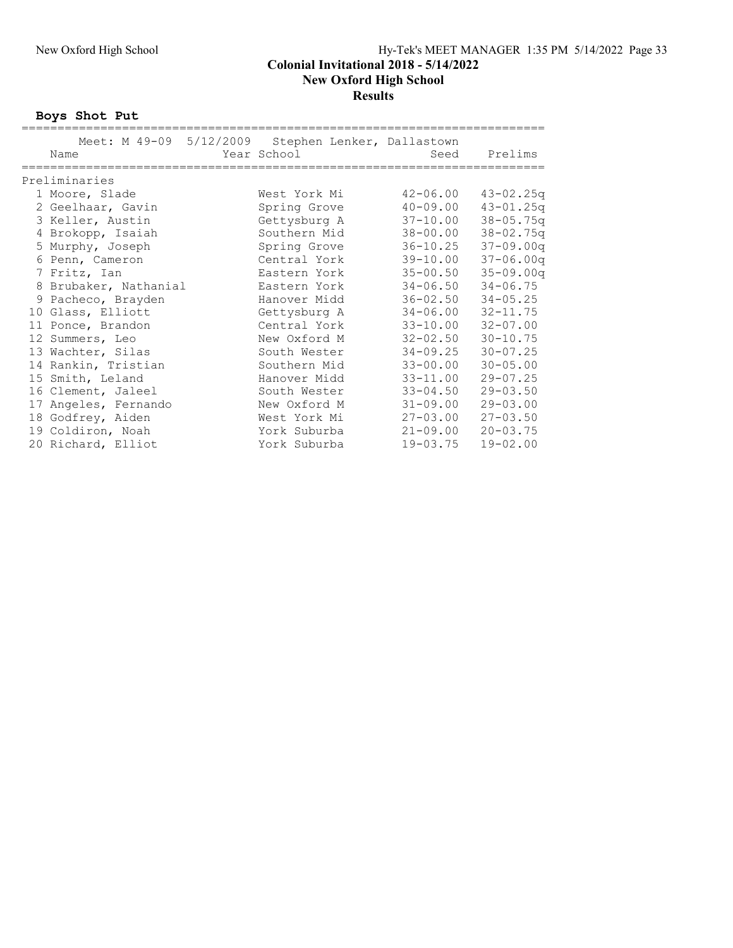#### New Oxford High School Hy-Tek's MEET MANAGER 1:35 PM 5/14/2022 Page 33 Colonial Invitational 2018 - 5/14/2022 New Oxford High School **Results**

Boys Shot Put

| Meet: M 49-09 5/12/2009 | Stephen Lenker, Dallastown |              |               |
|-------------------------|----------------------------|--------------|---------------|
| Name                    | Year School                | Seed         | Prelims       |
|                         |                            |              |               |
| Preliminaries           |                            |              |               |
| 1 Moore, Slade          | West York Mi               | $42 - 06.00$ | $43 - 02.25q$ |
| 2 Geelhaar, Gavin       | Spring Grove               | $40 - 09.00$ | $43 - 01.25q$ |
| 3 Keller, Austin        | Gettysburg A               | $37 - 10.00$ | $38 - 05.75q$ |
| 4 Brokopp, Isaiah       | Southern Mid               | $38 - 00.00$ | $38 - 02.75q$ |
| 5 Murphy, Joseph        | Spring Grove               | $36 - 10.25$ | $37 - 09.00q$ |
| 6 Penn, Cameron         | Central York               | $39 - 10.00$ | $37 - 06.00q$ |
| 7 Fritz, Ian            | Eastern York               | $35 - 00.50$ | $35 - 09.00q$ |
| 8 Brubaker, Nathanial   | Eastern York               | $34 - 06.50$ | $34 - 06.75$  |
| 9 Pacheco, Brayden      | Hanover Midd               | $36 - 02.50$ | $34 - 05.25$  |
| 10 Glass, Elliott       | Gettysburg A               | $34 - 06.00$ | $32 - 11.75$  |
| 11 Ponce, Brandon       | Central York               | $33 - 10.00$ | $32 - 07.00$  |
| 12 Summers, Leo         | New Oxford M               | $32 - 02.50$ | $30 - 10.75$  |
| 13 Wachter, Silas       | South Wester               | $34 - 09.25$ | $30 - 07.25$  |
| 14 Rankin, Tristian     | Southern Mid               | $33 - 00.00$ | $30 - 05.00$  |
| 15 Smith, Leland        | Hanover Midd               | $33 - 11.00$ | $29 - 07.25$  |
| 16 Clement, Jaleel      | South Wester               | $33 - 04.50$ | $29 - 03.50$  |
| 17 Angeles, Fernando    | New Oxford M               | $31 - 09.00$ | $29 - 03.00$  |
| 18 Godfrey, Aiden       | West York Mi               | $27 - 03.00$ | $27 - 03.50$  |
| 19 Coldiron, Noah       | York Suburba               | $21 - 09.00$ | $20 - 03.75$  |
| 20 Richard, Elliot      | York Suburba               | 19-03.75     | $19 - 02.00$  |
|                         |                            |              |               |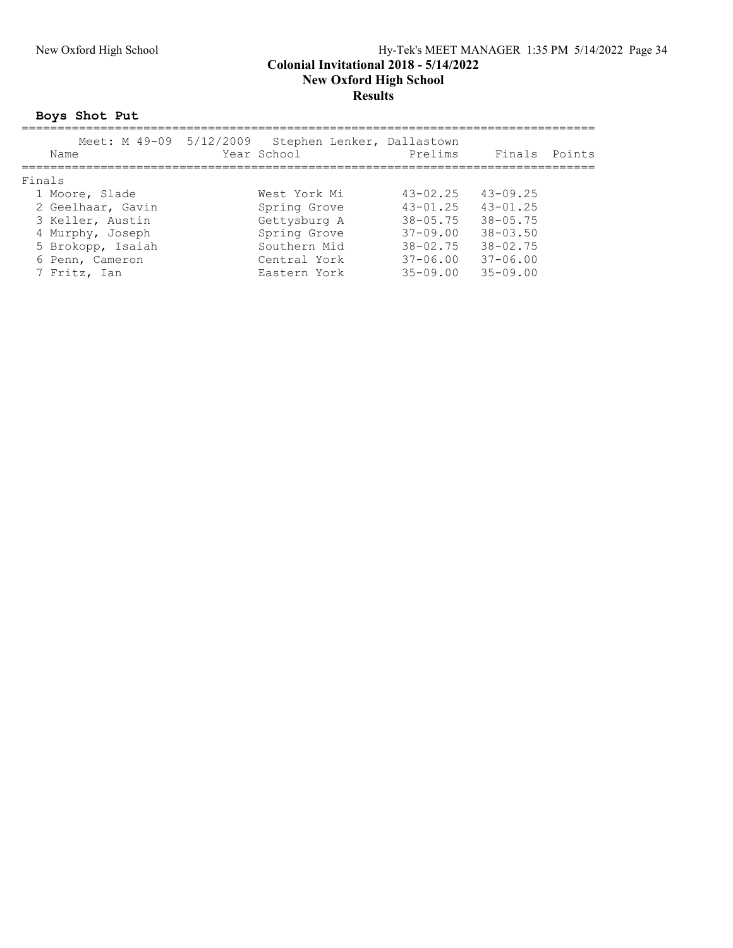### New Oxford High School Hy-Tek's MEET MANAGER 1:35 PM 5/14/2022 Page 34 Colonial Invitational 2018 - 5/14/2022 New Oxford High School Results

## Boys Shot Put

| Meet: M 49-09 5/12/2009<br>Name | Stephen Lenker, Dallastown<br>Year School | Prelims      | Finals       | Points |
|---------------------------------|-------------------------------------------|--------------|--------------|--------|
| Finals                          |                                           |              |              |        |
| 1 Moore, Slade                  | West York Mi                              | $43 - 02.25$ | $43 - 09.25$ |        |
| 2 Geelhaar, Gavin               | Spring Grove                              | $43 - 01.25$ | $43 - 01.25$ |        |
| 3 Keller, Austin                | Gettysburg A                              | $38 - 05.75$ | $38 - 05.75$ |        |
| 4 Murphy, Joseph                | Spring Grove                              | $37 - 09.00$ | $38 - 03.50$ |        |
| 5 Brokopp, Isaiah               | Southern Mid                              | $38 - 02.75$ | $38 - 02.75$ |        |
| 6 Penn, Cameron                 | Central York                              | $37 - 06.00$ | $37 - 06.00$ |        |
| 7 Fritz, Ian                    | Eastern York                              | $35 - 09.00$ | $35 - 09.00$ |        |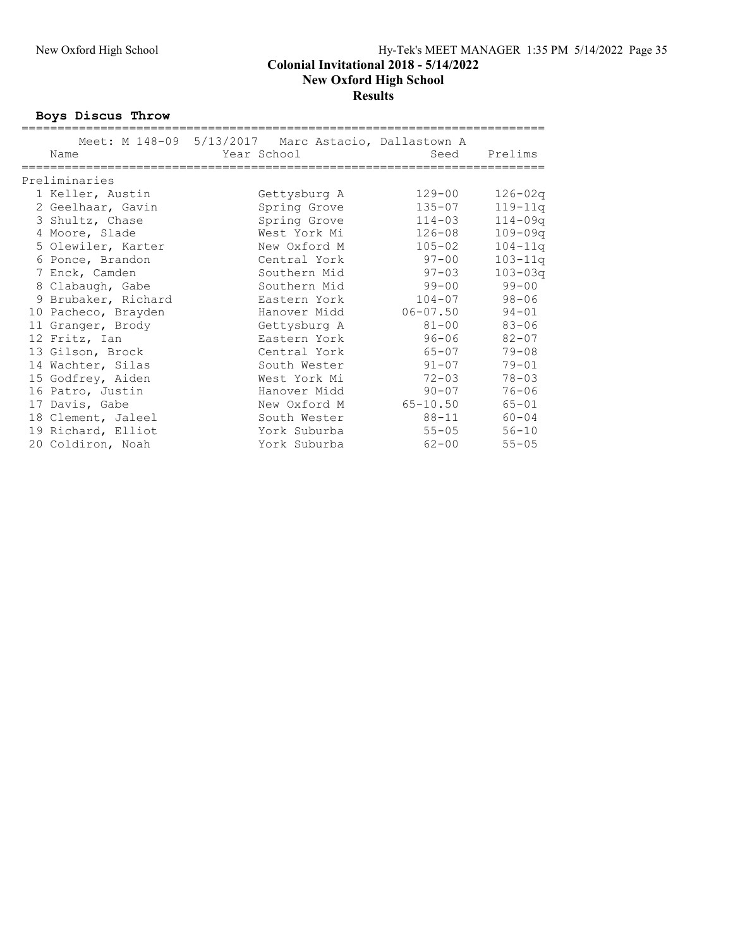### Boys Discus Throw

|                     | Meet: M 148-09 5/13/2017 Marc Astacio, Dallastown A |              |             |
|---------------------|-----------------------------------------------------|--------------|-------------|
| Name                | Year School                                         | Seed         | Prelims     |
|                     |                                                     |              |             |
| Preliminaries       |                                                     |              |             |
| 1 Keller, Austin    | Gettysburg A                                        | $129 - 00$   | $126 - 02q$ |
| 2 Geelhaar, Gavin   | Spring Grove                                        | $135 - 07$   | $119 - 11q$ |
| 3 Shultz, Chase     | Spring Grove                                        | $114 - 03$   | $114 - 09q$ |
| 4 Moore, Slade      | West York Mi                                        | $126 - 08$   | $109 - 09q$ |
| 5 Olewiler, Karter  | New Oxford M                                        | $105 - 02$   | $104 - 11q$ |
| 6 Ponce, Brandon    | Central York                                        | $97 - 00$    | $103 - 11q$ |
| 7 Enck, Camden      | Southern Mid                                        | $97 - 03$    | $103 - 03q$ |
| 8 Clabaugh, Gabe    | Southern Mid                                        | 99-00        | $99 - 00$   |
| 9 Brubaker, Richard | Eastern York                                        | $104 - 07$   | $98 - 06$   |
| 10 Pacheco, Brayden | Hanover Midd                                        | $06 - 07.50$ | $94 - 01$   |
| 11 Granger, Brody   | Gettysburg A                                        | 81-00        | $83 - 06$   |
| 12 Fritz, Ian       | Eastern York                                        | 96-06 7      | $82 - 07$   |
| 13 Gilson, Brock    | Central York                                        | 65-07        | $79 - 08$   |
| 14 Wachter, Silas   | South Wester                                        | $91 - 07$    | $79 - 01$   |
| 15 Godfrey, Aiden   | West York Mi                                        | $72 - 03$    | $78 - 03$   |
| 16 Patro, Justin    | Hanover Midd                                        | $90 - 07$    | $76 - 06$   |
| 17 Davis, Gabe      | New Oxford M                                        | 65-10.50     | $65 - 01$   |
| 18 Clement, Jaleel  | South Wester                                        | 88-11        | $60 - 04$   |
| 19 Richard, Elliot  | York Suburba                                        | $55 - 05$    | $56 - 10$   |
| 20 Coldiron, Noah   | York Suburba                                        | $62 - 00$    | $55 - 05$   |